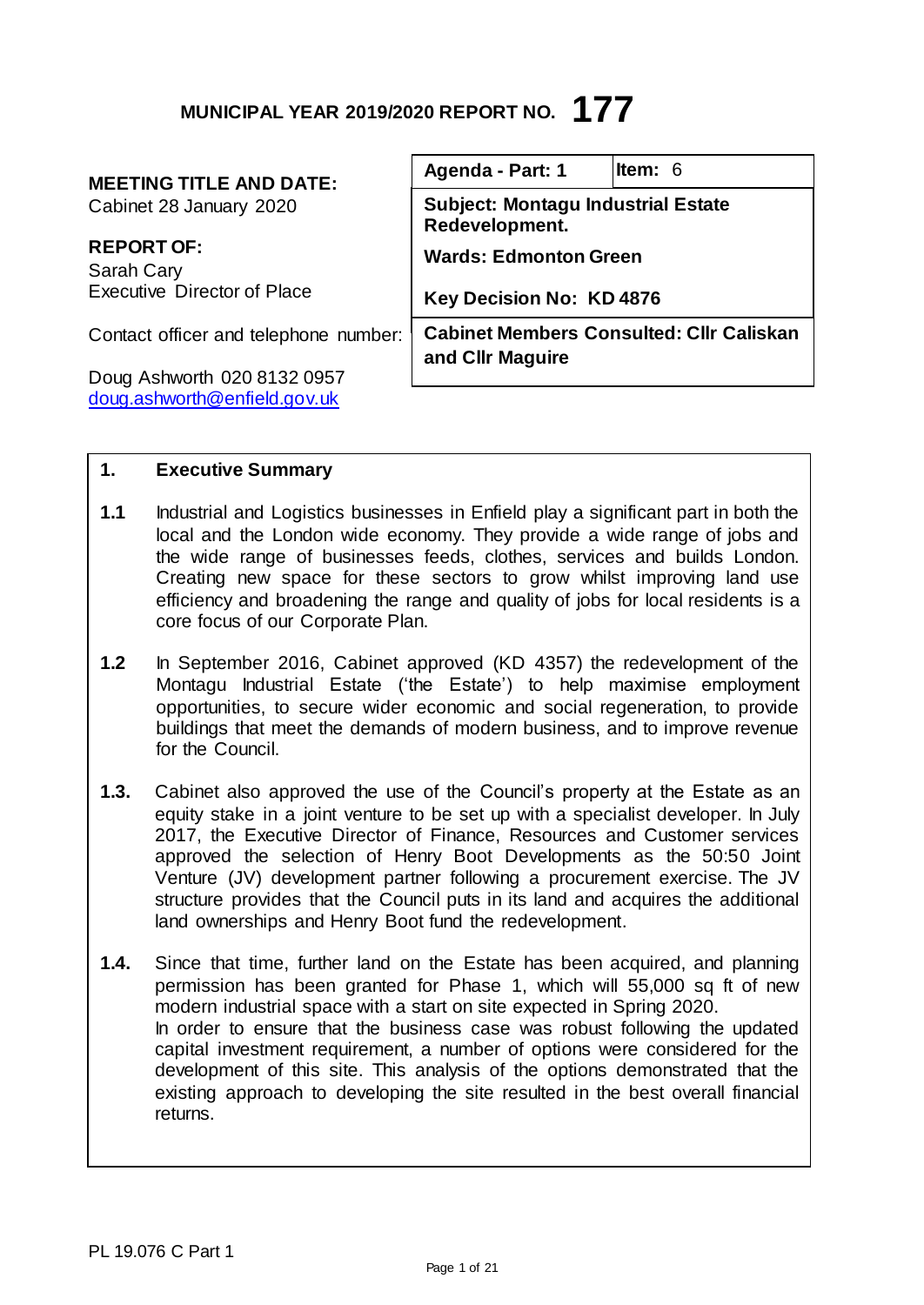## **MUNICIPAL YEAR 2019/2020 REPORT NO. 177**

## **MEETING TITLE AND DATE:**

Cabinet 28 January 2020

**REPORT OF:** Sarah Cary Executive Director of Place

Contact officer and telephone number:

Doug Ashworth 020 8132 0957 [doug.ashworth@enfield.gov.uk](mailto:doug.ashworth@enfield.gov.uk)

| Agenda - Part: 1                                                    | <b>Item: 6</b>                  |  |  |  |  |  |  |  |  |  |
|---------------------------------------------------------------------|---------------------------------|--|--|--|--|--|--|--|--|--|
| <b>Subject: Montagu Industrial Estate</b><br>Redevelopment.         |                                 |  |  |  |  |  |  |  |  |  |
|                                                                     | <b>Wards: Edmonton Green</b>    |  |  |  |  |  |  |  |  |  |
|                                                                     | <b>Key Decision No: KD 4876</b> |  |  |  |  |  |  |  |  |  |
| <b>Cabinet Members Consulted: Cllr Caliskan</b><br>and CIIr Maguire |                                 |  |  |  |  |  |  |  |  |  |

## **1. Executive Summary**

- **1.1** Industrial and Logistics businesses in Enfield play a significant part in both the local and the London wide economy. They provide a wide range of jobs and the wide range of businesses feeds, clothes, services and builds London. Creating new space for these sectors to grow whilst improving land use efficiency and broadening the range and quality of jobs for local residents is a core focus of our Corporate Plan.
- **1.2** In September 2016, Cabinet approved (KD 4357) the redevelopment of the Montagu Industrial Estate ('the Estate') to help maximise employment opportunities, to secure wider economic and social regeneration, to provide buildings that meet the demands of modern business, and to improve revenue for the Council.
- **1.3.** Cabinet also approved the use of the Council's property at the Estate as an equity stake in a joint venture to be set up with a specialist developer. In July 2017, the Executive Director of Finance, Resources and Customer services approved the selection of Henry Boot Developments as the 50:50 Joint Venture (JV) development partner following a procurement exercise. The JV structure provides that the Council puts in its land and acquires the additional land ownerships and Henry Boot fund the redevelopment.
- **1.4.** Since that time, further land on the Estate has been acquired, and planning permission has been granted for Phase 1, which will 55,000 sq ft of new modern industrial space with a start on site expected in Spring 2020. In order to ensure that the business case was robust following the updated capital investment requirement, a number of options were considered for the development of this site. This analysis of the options demonstrated that the existing approach to developing the site resulted in the best overall financial returns.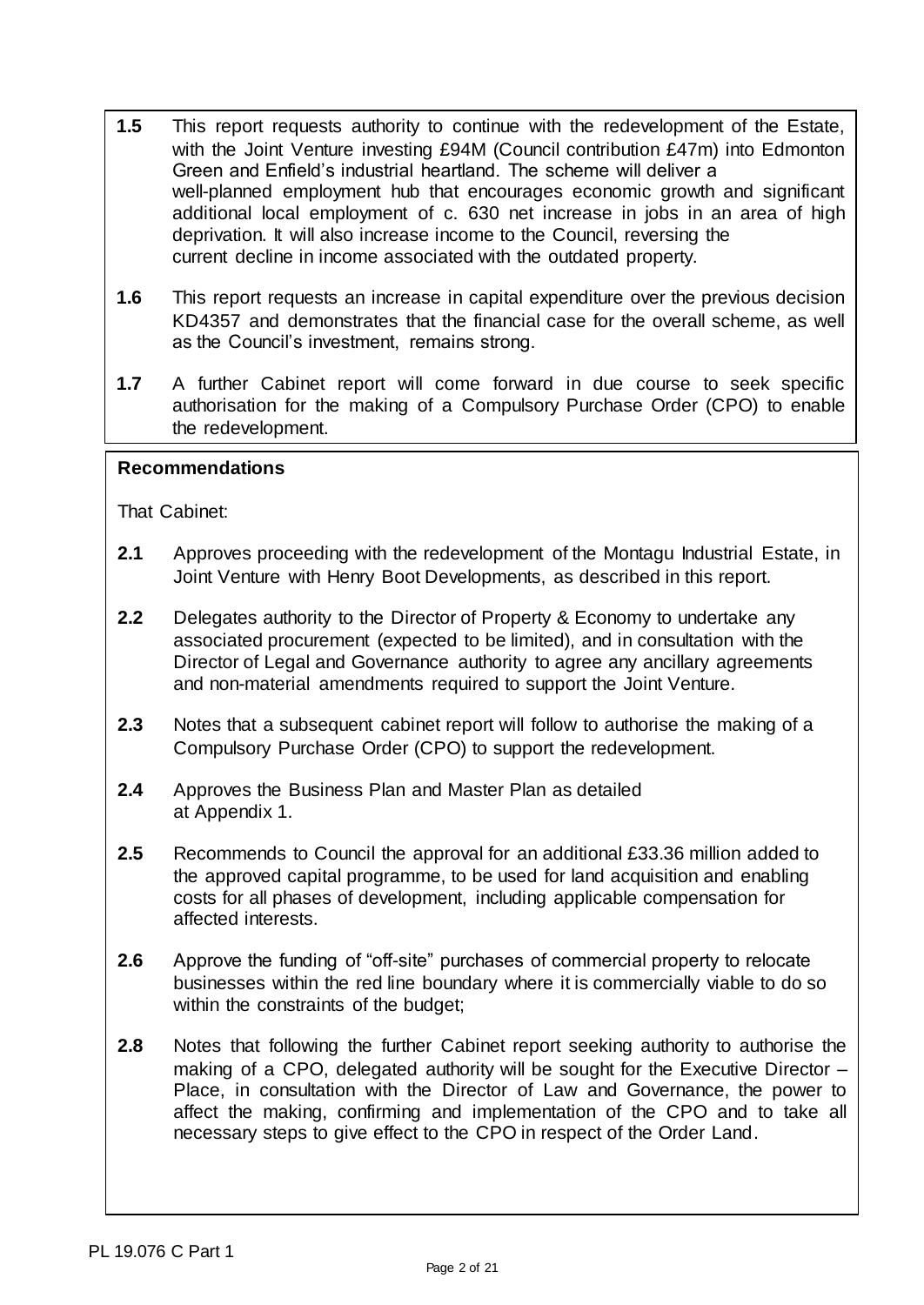- **1.5** This report requests authority to continue with the redevelopment of the Estate, with the Joint Venture investing £94M (Council contribution £47m) into Edmonton Green and Enfield's industrial heartland. The scheme will deliver a well-planned employment hub that encourages economic growth and significant additional local employment of c. 630 net increase in jobs in an area of high deprivation. It will also increase income to the Council, reversing the current decline in income associated with the outdated property.
- **1.6** This report requests an increase in capital expenditure over the previous decision KD4357 and demonstrates that the financial case for the overall scheme, as well as the Council's investment, remains strong.
- **1.7** A further Cabinet report will come forward in due course to seek specific authorisation for the making of a Compulsory Purchase Order (CPO) to enable the redevelopment.

#### **Recommendations**

That Cabinet:

- **2.1** Approves proceeding with the redevelopment of the Montagu Industrial Estate, in Joint Venture with Henry Boot Developments, as described in this report.
- **2.2** Delegates authority to the Director of Property & Economy to undertake any associated procurement (expected to be limited), and in consultation with the Director of Legal and Governance authority to agree any ancillary agreements and non-material amendments required to support the Joint Venture.
- **2.3** Notes that a subsequent cabinet report will follow to authorise the making of a Compulsory Purchase Order (CPO) to support the redevelopment.
- **2.4** Approves the Business Plan and Master Plan as detailed at Appendix 1.
- **2.5** Recommends to Council the approval for an additional £33.36 million added to the approved capital programme, to be used for land acquisition and enabling costs for all phases of development, including applicable compensation for affected interests.
- **2.6** Approve the funding of "off-site" purchases of commercial property to relocate businesses within the red line boundary where it is commercially viable to do so within the constraints of the budget;
- **2.8** Notes that following the further Cabinet report seeking authority to authorise the making of a CPO, delegated authority will be sought for the Executive Director – Place, in consultation with the Director of Law and Governance, the power to affect the making, confirming and implementation of the CPO and to take all necessary steps to give effect to the CPO in respect of the Order Land.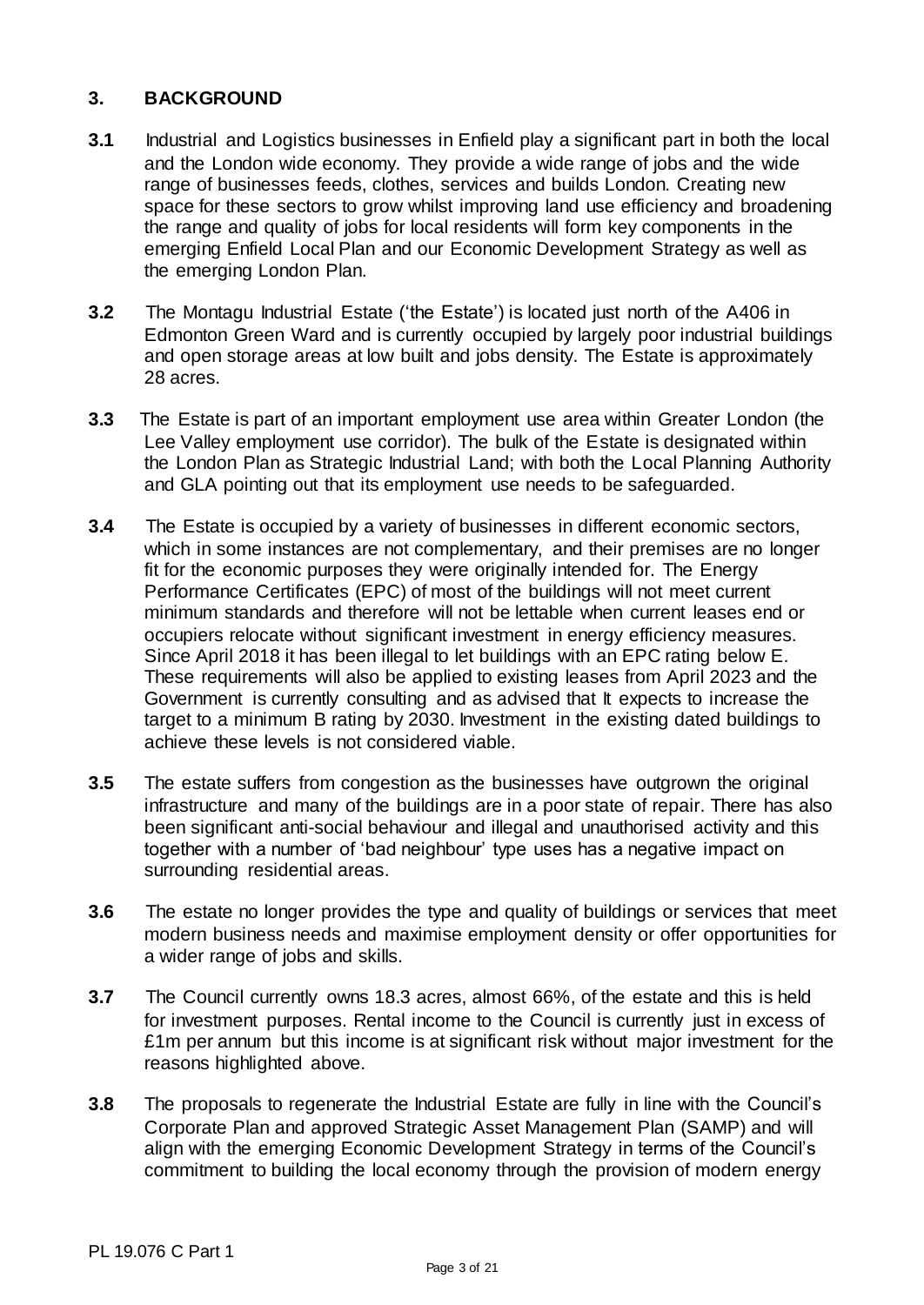## **3. BACKGROUND**

- **3.1** Industrial and Logistics businesses in Enfield play a significant part in both the local and the London wide economy. They provide a wide range of jobs and the wide range of businesses feeds, clothes, services and builds London. Creating new space for these sectors to grow whilst improving land use efficiency and broadening the range and quality of jobs for local residents will form key components in the emerging Enfield Local Plan and our Economic Development Strategy as well as the emerging London Plan.
- **3.2** The Montagu Industrial Estate ('the Estate') is located just north of the A406 in Edmonton Green Ward and is currently occupied by largely poor industrial buildings and open storage areas at low built and jobs density. The Estate is approximately 28 acres.
- **3.3** The Estate is part of an important employment use area within Greater London (the Lee Valley employment use corridor). The bulk of the Estate is designated within the London Plan as Strategic Industrial Land; with both the Local Planning Authority and GLA pointing out that its employment use needs to be safeguarded.
- **3.4** The Estate is occupied by a variety of businesses in different economic sectors, which in some instances are not complementary, and their premises are no longer fit for the economic purposes they were originally intended for. The Energy Performance Certificates (EPC) of most of the buildings will not meet current minimum standards and therefore will not be lettable when current leases end or occupiers relocate without significant investment in energy efficiency measures. Since April 2018 it has been illegal to let buildings with an EPC rating below E. These requirements will also be applied to existing leases from April 2023 and the Government is currently consulting and as advised that It expects to increase the target to a minimum B rating by 2030. Investment in the existing dated buildings to achieve these levels is not considered viable.
- **3.5** The estate suffers from congestion as the businesses have outgrown the original infrastructure and many of the buildings are in a poor state of repair. There has also been significant anti-social behaviour and illegal and unauthorised activity and this together with a number of 'bad neighbour' type uses has a negative impact on surrounding residential areas.
- **3.6** The estate no longer provides the type and quality of buildings or services that meet modern business needs and maximise employment density or offer opportunities for a wider range of jobs and skills.
- **3.7** The Council currently owns 18.3 acres, almost 66%, of the estate and this is held for investment purposes. Rental income to the Council is currently just in excess of £1m per annum but this income is at significant risk without major investment for the reasons highlighted above.
- **3.8** The proposals to regenerate the Industrial Estate are fully in line with the Council's Corporate Plan and approved Strategic Asset Management Plan (SAMP) and will align with the emerging Economic Development Strategy in terms of the Council's commitment to building the local economy through the provision of modern energy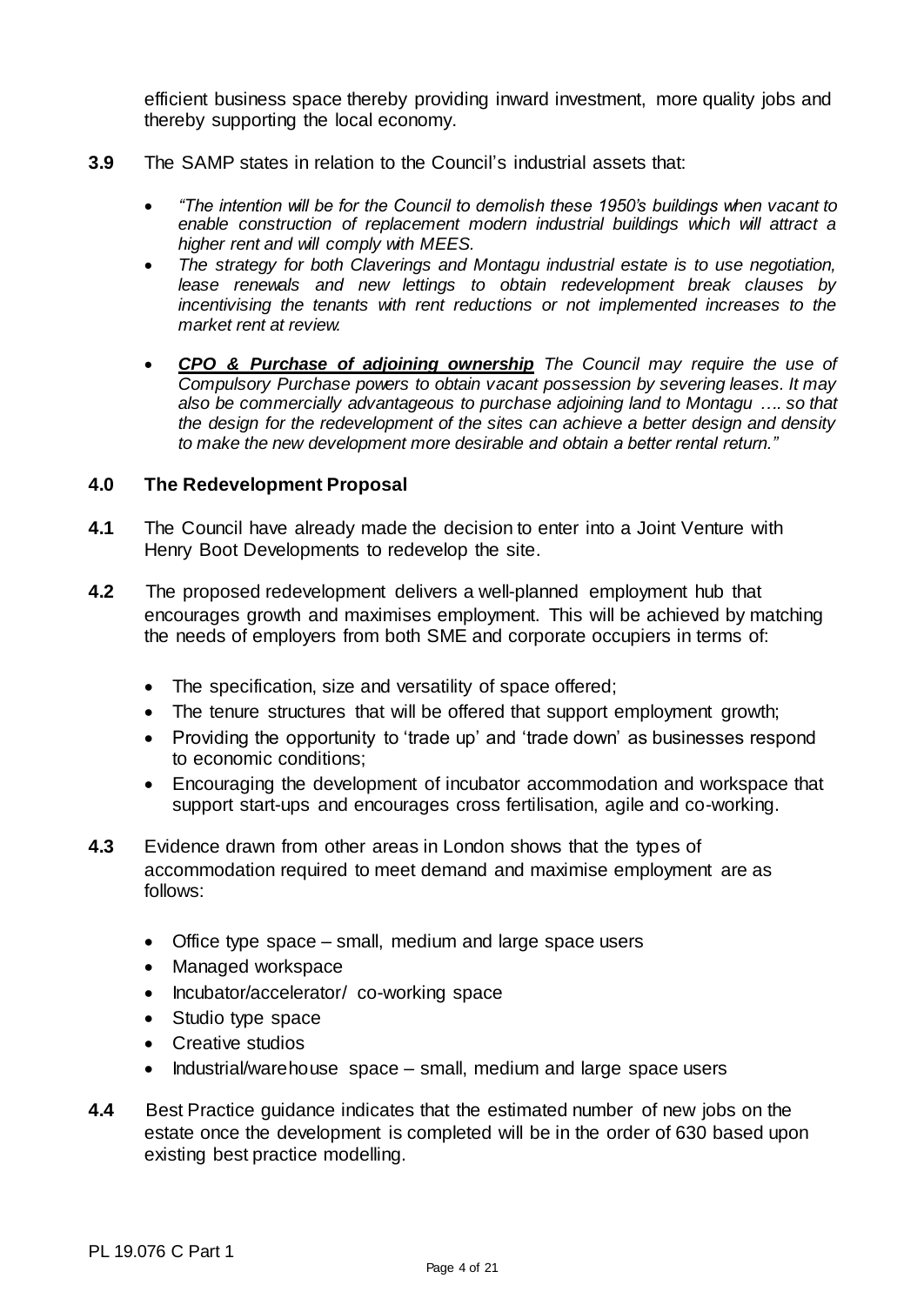efficient business space thereby providing inward investment, more quality jobs and thereby supporting the local economy.

- **3.9** The SAMP states in relation to the Council's industrial assets that:
	- *"The intention will be for the Council to demolish these 1950's buildings when vacant to enable construction of replacement modern industrial buildings which will attract a higher rent and will comply with MEES.*
	- *The strategy for both Claverings and Montagu industrial estate is to use negotiation, lease renewals and new lettings to obtain redevelopment break clauses by incentivising the tenants with rent reductions or not implemented increases to the market rent at review.*
	- *CPO & Purchase of adjoining ownership The Council may require the use of Compulsory Purchase powers to obtain vacant possession by severing leases. It may also be commercially advantageous to purchase adjoining land to Montagu …. so that the design for the redevelopment of the sites can achieve a better design and density to make the new development more desirable and obtain a better rental return."*

#### **4.0 The Redevelopment Proposal**

- **4.1** The Council have already made the decision to enter into a Joint Venture with Henry Boot Developments to redevelop the site.
- **4.2** The proposed redevelopment delivers a well-planned employment hub that encourages growth and maximises employment. This will be achieved by matching the needs of employers from both SME and corporate occupiers in terms of:
	- The specification, size and versatility of space offered;
	- The tenure structures that will be offered that support employment growth;
	- Providing the opportunity to 'trade up' and 'trade down' as businesses respond to economic conditions;
	- Encouraging the development of incubator accommodation and workspace that support start-ups and encourages cross fertilisation, agile and co-working.
- **4.3** Evidence drawn from other areas in London shows that the types of accommodation required to meet demand and maximise employment are as follows:
	- Office type space small, medium and large space users
	- Managed workspace
	- Incubator/accelerator/ co-working space
	- Studio type space
	- Creative studios
	- Industrial/warehouse space small, medium and large space users
- **4.4** Best Practice guidance indicates that the estimated number of new jobs on the estate once the development is completed will be in the order of 630 based upon existing best practice modelling.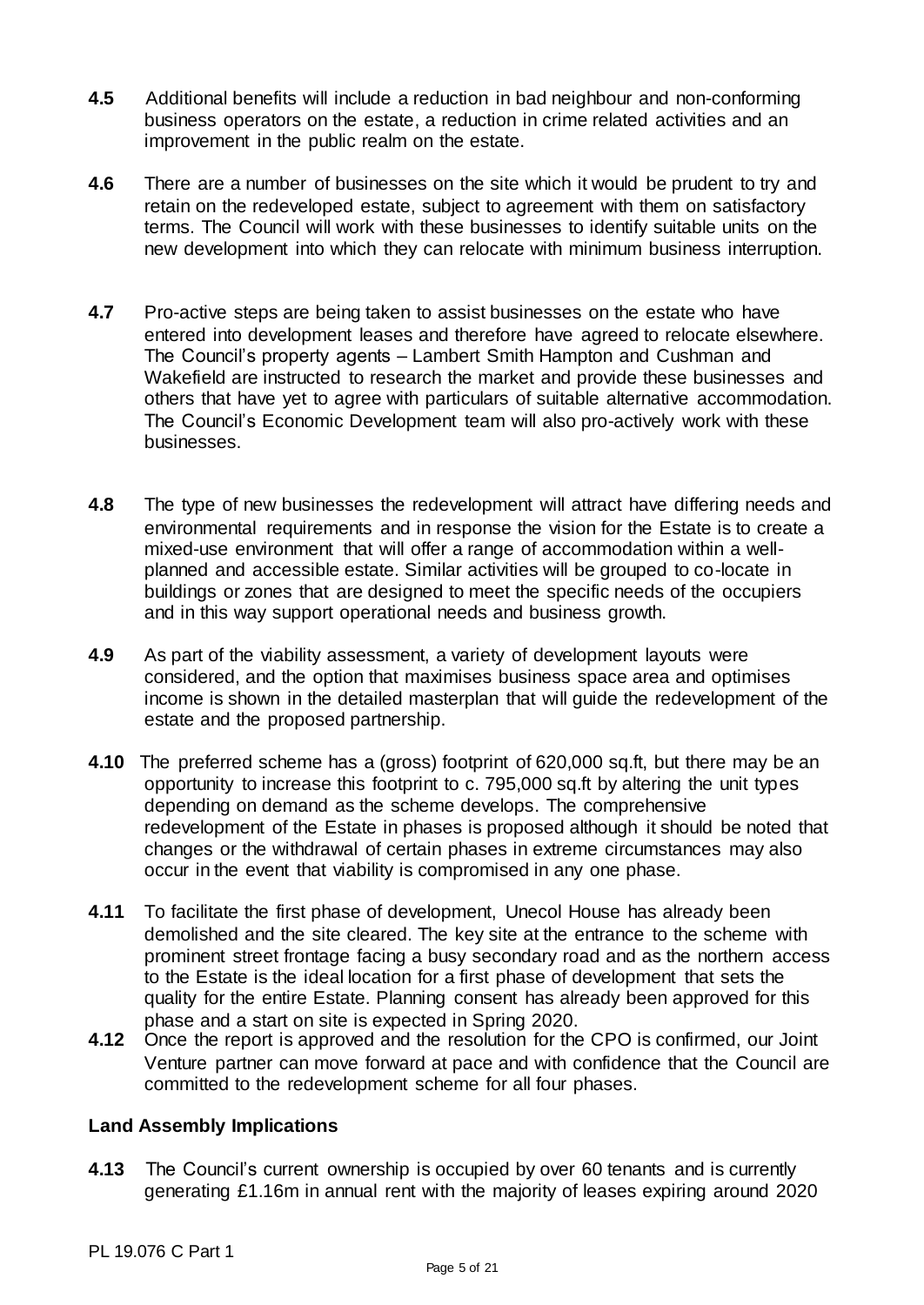- **4.5** Additional benefits will include a reduction in bad neighbour and non-conforming business operators on the estate, a reduction in crime related activities and an improvement in the public realm on the estate.
- **4.6** There are a number of businesses on the site which it would be prudent to try and retain on the redeveloped estate, subject to agreement with them on satisfactory terms. The Council will work with these businesses to identify suitable units on the new development into which they can relocate with minimum business interruption.
- **4.7** Pro-active steps are being taken to assist businesses on the estate who have entered into development leases and therefore have agreed to relocate elsewhere. The Council's property agents – Lambert Smith Hampton and Cushman and Wakefield are instructed to research the market and provide these businesses and others that have yet to agree with particulars of suitable alternative accommodation. The Council's Economic Development team will also pro-actively work with these businesses.
- **4.8** The type of new businesses the redevelopment will attract have differing needs and environmental requirements and in response the vision for the Estate is to create a mixed-use environment that will offer a range of accommodation within a wellplanned and accessible estate. Similar activities will be grouped to co-locate in buildings or zones that are designed to meet the specific needs of the occupiers and in this way support operational needs and business growth.
- **4.9** As part of the viability assessment, a variety of development layouts were considered, and the option that maximises business space area and optimises income is shown in the detailed masterplan that will guide the redevelopment of the estate and the proposed partnership.
- **4.10** The preferred scheme has a (gross) footprint of 620,000 sq.ft, but there may be an opportunity to increase this footprint to c. 795,000 sq.ft by altering the unit types depending on demand as the scheme develops. The comprehensive redevelopment of the Estate in phases is proposed although it should be noted that changes or the withdrawal of certain phases in extreme circumstances may also occur in the event that viability is compromised in any one phase.
- **4.11** To facilitate the first phase of development, Unecol House has already been demolished and the site cleared. The key site at the entrance to the scheme with prominent street frontage facing a busy secondary road and as the northern access to the Estate is the ideal location for a first phase of development that sets the quality for the entire Estate. Planning consent has already been approved for this phase and a start on site is expected in Spring 2020.
- **4.12** Once the report is approved and the resolution for the CPO is confirmed, our Joint Venture partner can move forward at pace and with confidence that the Council are committed to the redevelopment scheme for all four phases.

#### **Land Assembly Implications**

**4.13** The Council's current ownership is occupied by over 60 tenants and is currently generating £1.16m in annual rent with the majority of leases expiring around 2020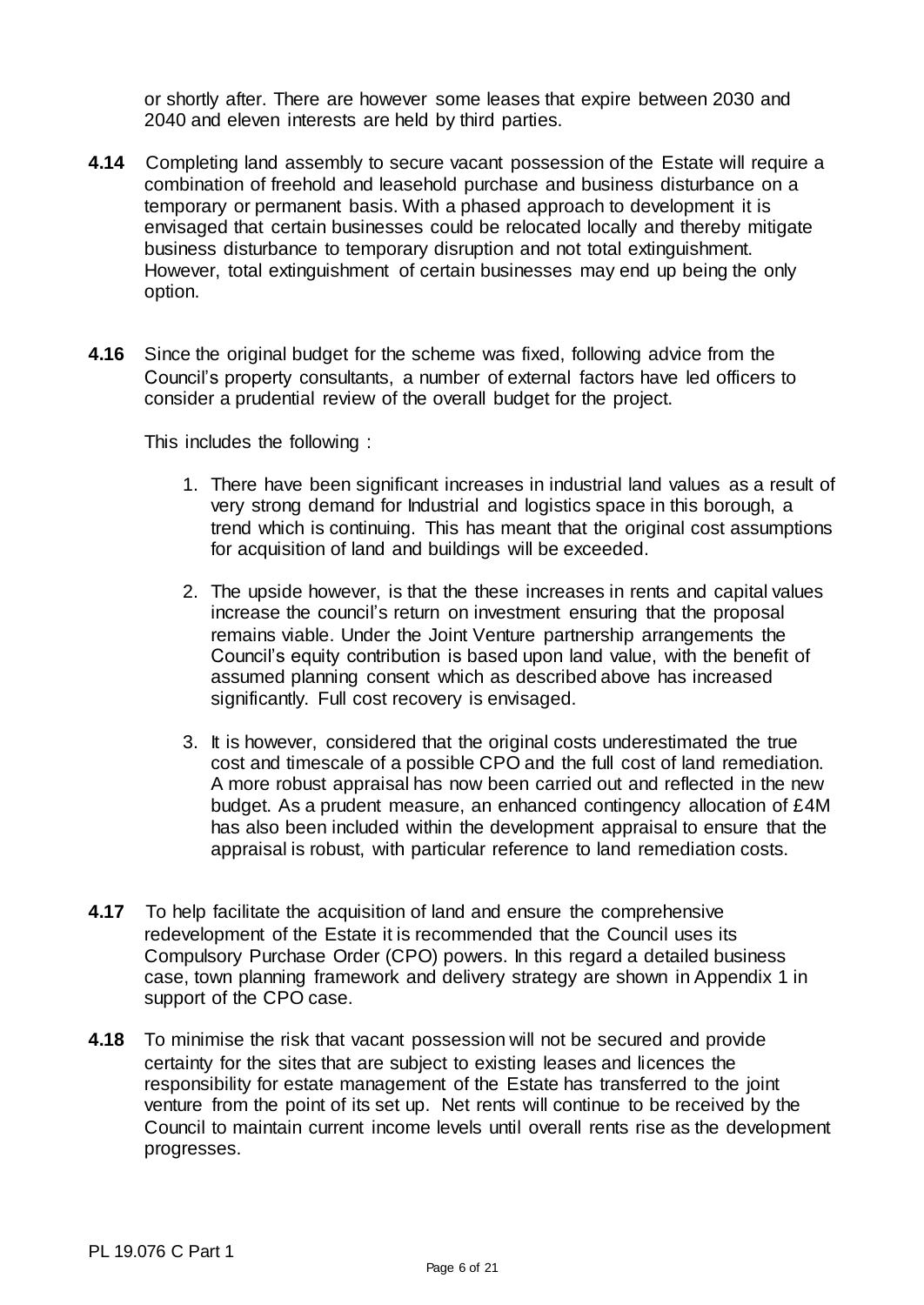or shortly after. There are however some leases that expire between 2030 and 2040 and eleven interests are held by third parties.

- **4.14** Completing land assembly to secure vacant possession of the Estate will require a combination of freehold and leasehold purchase and business disturbance on a temporary or permanent basis. With a phased approach to development it is envisaged that certain businesses could be relocated locally and thereby mitigate business disturbance to temporary disruption and not total extinguishment. However, total extinguishment of certain businesses may end up being the only option.
- **4.16** Since the original budget for the scheme was fixed, following advice from the Council's property consultants, a number of external factors have led officers to consider a prudential review of the overall budget for the project.

This includes the following :

- 1. There have been significant increases in industrial land values as a result of very strong demand for Industrial and logistics space in this borough, a trend which is continuing. This has meant that the original cost assumptions for acquisition of land and buildings will be exceeded.
- 2. The upside however, is that the these increases in rents and capital values increase the council's return on investment ensuring that the proposal remains viable. Under the Joint Venture partnership arrangements the Council's equity contribution is based upon land value, with the benefit of assumed planning consent which as described above has increased significantly. Full cost recovery is envisaged.
- 3. It is however, considered that the original costs underestimated the true cost and timescale of a possible CPO and the full cost of land remediation. A more robust appraisal has now been carried out and reflected in the new budget. As a prudent measure, an enhanced contingency allocation of £4M has also been included within the development appraisal to ensure that the appraisal is robust, with particular reference to land remediation costs.
- **4.17** To help facilitate the acquisition of land and ensure the comprehensive redevelopment of the Estate it is recommended that the Council uses its Compulsory Purchase Order (CPO) powers. In this regard a detailed business case, town planning framework and delivery strategy are shown in Appendix 1 in support of the CPO case.
- **4.18** To minimise the risk that vacant possession will not be secured and provide certainty for the sites that are subject to existing leases and licences the responsibility for estate management of the Estate has transferred to the joint venture from the point of its set up. Net rents will continue to be received by the Council to maintain current income levels until overall rents rise as the development progresses.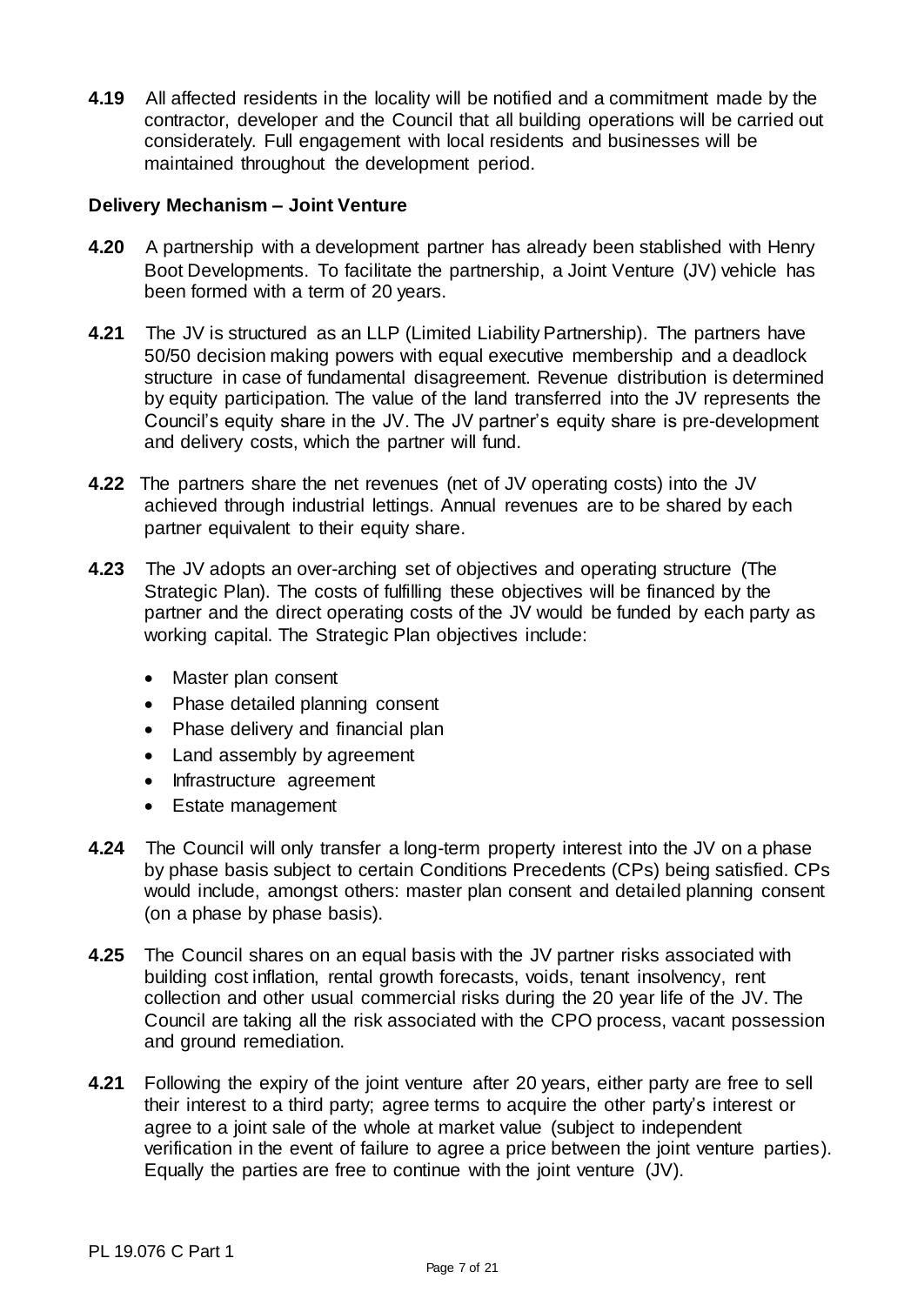**4.19** All affected residents in the locality will be notified and a commitment made by the contractor, developer and the Council that all building operations will be carried out considerately. Full engagement with local residents and businesses will be maintained throughout the development period.

#### **Delivery Mechanism – Joint Venture**

- **4.20** A partnership with a development partner has already been stablished with Henry Boot Developments. To facilitate the partnership, a Joint Venture (JV) vehicle has been formed with a term of 20 years.
- **4.21** The JV is structured as an LLP (Limited Liability Partnership). The partners have 50/50 decision making powers with equal executive membership and a deadlock structure in case of fundamental disagreement. Revenue distribution is determined by equity participation. The value of the land transferred into the JV represents the Council's equity share in the JV. The JV partner's equity share is pre-development and delivery costs, which the partner will fund.
- **4.22** The partners share the net revenues (net of JV operating costs) into the JV achieved through industrial lettings. Annual revenues are to be shared by each partner equivalent to their equity share.
- **4.23** The JV adopts an over-arching set of objectives and operating structure (The Strategic Plan). The costs of fulfilling these objectives will be financed by the partner and the direct operating costs of the JV would be funded by each party as working capital. The Strategic Plan objectives include:
	- Master plan consent
	- Phase detailed planning consent
	- Phase delivery and financial plan
	- Land assembly by agreement
	- Infrastructure agreement
	- Estate management
- **4.24** The Council will only transfer a long-term property interest into the JV on a phase by phase basis subject to certain Conditions Precedents (CPs) being satisfied. CPs would include, amongst others: master plan consent and detailed planning consent (on a phase by phase basis).
- **4.25** The Council shares on an equal basis with the JV partner risks associated with building cost inflation, rental growth forecasts, voids, tenant insolvency, rent collection and other usual commercial risks during the 20 year life of the JV. The Council are taking all the risk associated with the CPO process, vacant possession and ground remediation.
- **4.21** Following the expiry of the joint venture after 20 years, either party are free to sell their interest to a third party; agree terms to acquire the other party's interest or agree to a joint sale of the whole at market value (subject to independent verification in the event of failure to agree a price between the joint venture parties). Equally the parties are free to continue with the joint venture (JV).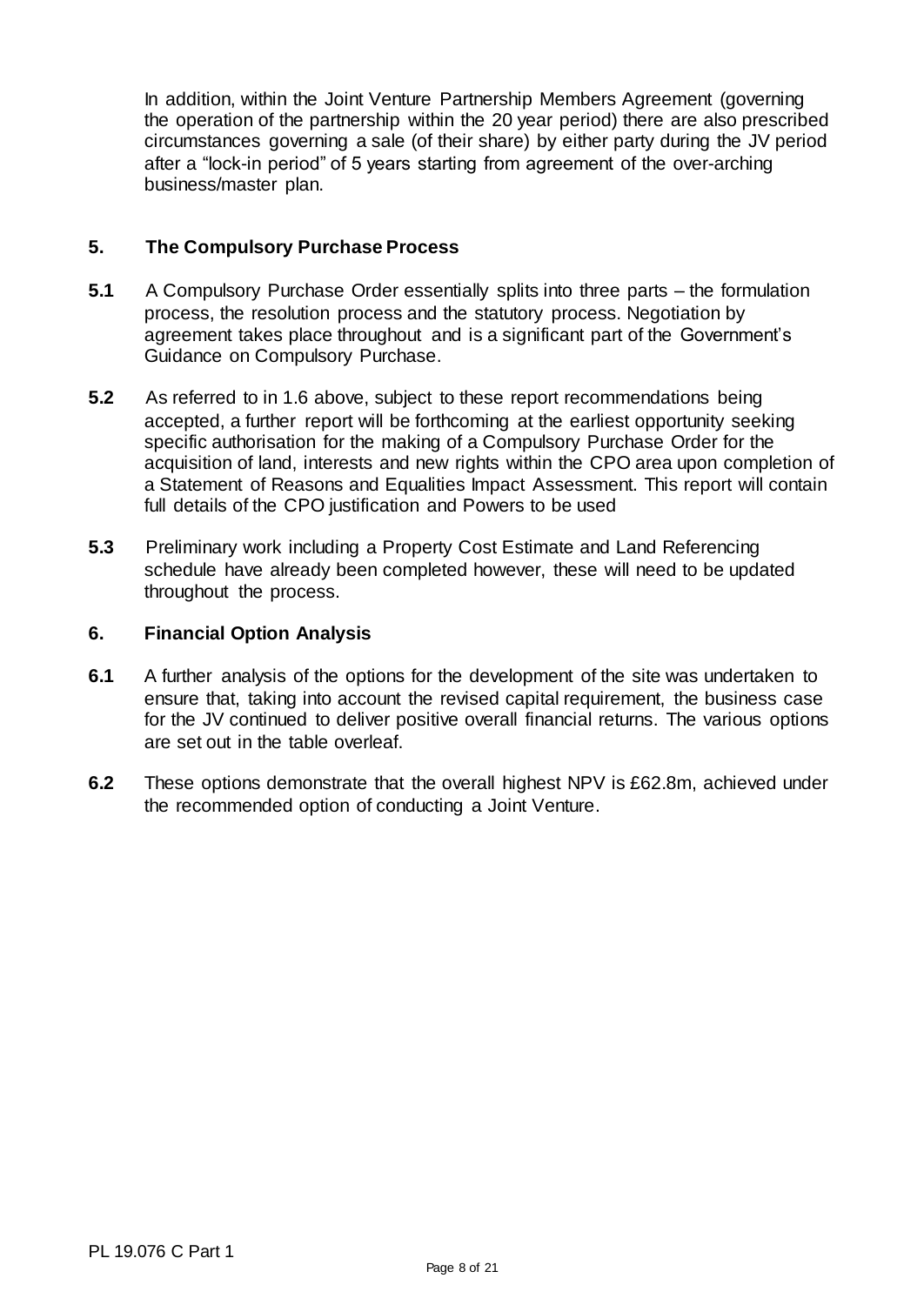In addition, within the Joint Venture Partnership Members Agreement (governing the operation of the partnership within the 20 year period) there are also prescribed circumstances governing a sale (of their share) by either party during the JV period after a "lock-in period" of 5 years starting from agreement of the over-arching business/master plan.

#### **5. The Compulsory Purchase Process**

- **5.1** A Compulsory Purchase Order essentially splits into three parts the formulation process, the resolution process and the statutory process. Negotiation by agreement takes place throughout and is a significant part of the Government's Guidance on Compulsory Purchase.
- **5.2** As referred to in 1.6 above, subject to these report recommendations being accepted, a further report will be forthcoming at the earliest opportunity seeking specific authorisation for the making of a Compulsory Purchase Order for the acquisition of land, interests and new rights within the CPO area upon completion of a Statement of Reasons and Equalities Impact Assessment. This report will contain full details of the CPO justification and Powers to be used
- **5.3** Preliminary work including a Property Cost Estimate and Land Referencing schedule have already been completed however, these will need to be updated throughout the process.

#### **6. Financial Option Analysis**

- **6.1** A further analysis of the options for the development of the site was undertaken to ensure that, taking into account the revised capital requirement, the business case for the JV continued to deliver positive overall financial returns. The various options are set out in the table overleaf.
- **6.2** These options demonstrate that the overall highest NPV is £62.8m, achieved under the recommended option of conducting a Joint Venture.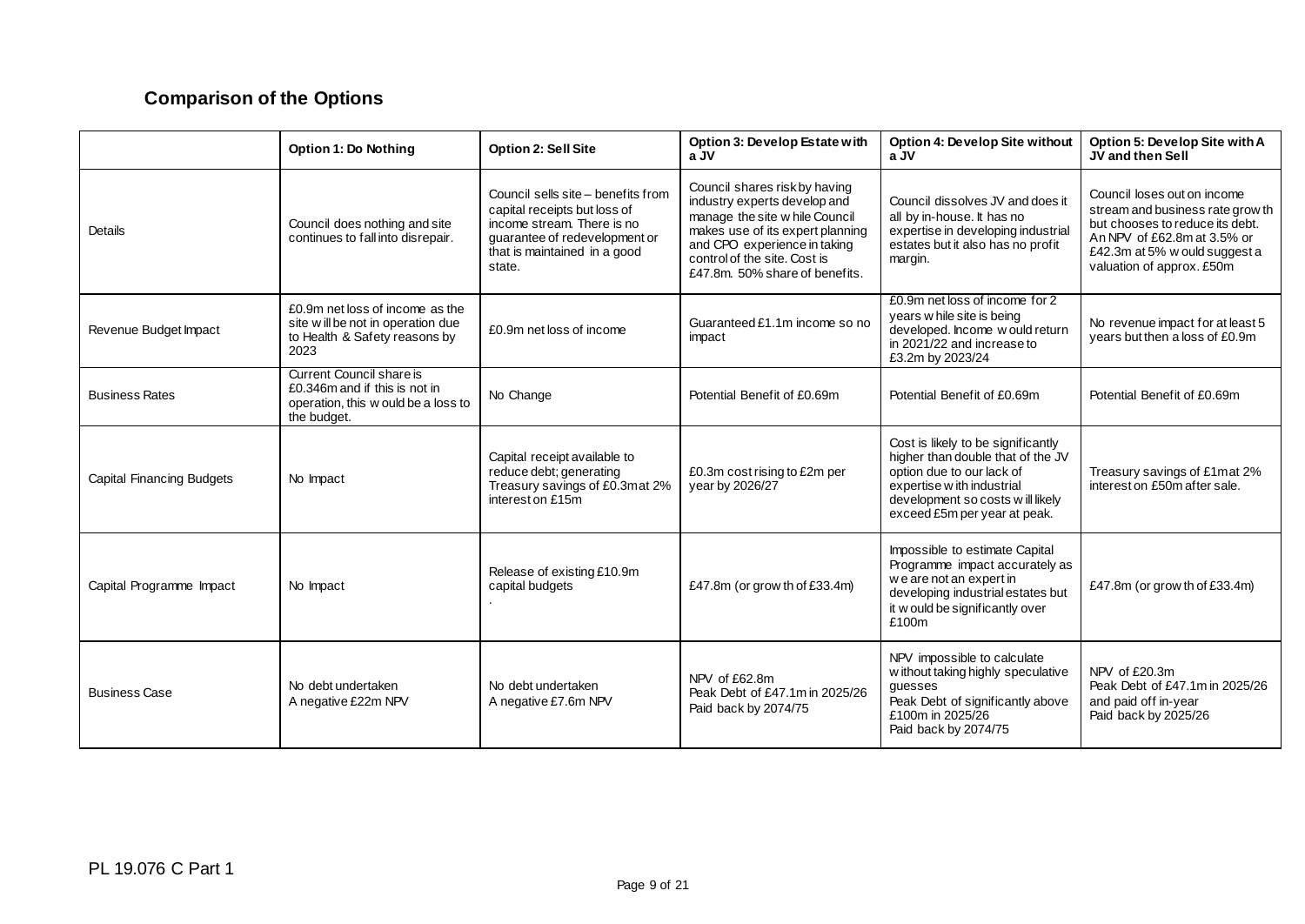# **Comparison of the Options**

|                           | <b>Option 1: Do Nothing</b>                                                                                     | <b>Option 2: Sell Site</b>                                                                                                                                                  | Option 3: Develop Estate with<br>a JV                                                                                                                                                                                                 | Option 4: Develop Site without<br>a JV                                                                                                                                                                  | Option 5: Develop Site with A<br>JV and then Sell                                                                                                                                               |
|---------------------------|-----------------------------------------------------------------------------------------------------------------|-----------------------------------------------------------------------------------------------------------------------------------------------------------------------------|---------------------------------------------------------------------------------------------------------------------------------------------------------------------------------------------------------------------------------------|---------------------------------------------------------------------------------------------------------------------------------------------------------------------------------------------------------|-------------------------------------------------------------------------------------------------------------------------------------------------------------------------------------------------|
| Details                   | Council does nothing and site<br>continues to fall into disrepair.                                              | Council sells site - benefits from<br>capital receipts but loss of<br>income stream. There is no<br>quarantee of redevelopment or<br>that is maintained in a good<br>state. | Council shares risk by having<br>industry experts develop and<br>manage the site w hile Council<br>makes use of its expert planning<br>and CPO experience in taking<br>control of the site. Cost is<br>£47.8m, 50% share of benefits. | Council dissolves JV and does it<br>all by in-house. It has no<br>expertise in developing industrial<br>estates but it also has no profit<br>margin.                                                    | Council loses out on income<br>stream and business rate grow th<br>but chooses to reduce its debt.<br>An NPV of £62.8m at 3.5% or<br>£42.3m at 5% w ould suggest a<br>valuation of approx. £50m |
| Revenue Budget Impact     | £0.9m net loss of income as the<br>site will be not in operation due<br>to Health & Safety reasons by<br>2023   | £0.9m net loss of income                                                                                                                                                    | Guaranteed £1.1m income so no<br>impact                                                                                                                                                                                               | £0.9m net loss of income for 2<br>years w hile site is being<br>developed. Income would return<br>in 2021/22 and increase to<br>£3.2m by 2023/24                                                        | No revenue impact for at least 5<br>years but then a loss of £0.9m                                                                                                                              |
| <b>Business Rates</b>     | Current Council share is<br>£0.346m and if this is not in<br>operation, this w ould be a loss to<br>the budget. | No Change                                                                                                                                                                   | Potential Benefit of £0.69m                                                                                                                                                                                                           | Potential Benefit of £0.69m                                                                                                                                                                             | Potential Benefit of £0.69m                                                                                                                                                                     |
| Capital Financing Budgets | No Impact                                                                                                       | Capital receipt available to<br>reduce debt; generating<br>Treasury savings of £0.3mat 2%<br>interest on £15m                                                               | £0.3m cost rising to £2m per<br>year by 2026/27                                                                                                                                                                                       | Cost is likely to be significantly<br>higher than double that of the JV<br>option due to our lack of<br>expertise w ith industrial<br>development so costs w ill likely<br>exceed £5m per year at peak. | Treasury savings of £1mat 2%<br>interest on £50m after sale.                                                                                                                                    |
| Capital Programme Impact  | No Impact                                                                                                       | Release of existing £10.9m<br>capital budgets                                                                                                                               | £47.8m (or grow th of £33.4m)                                                                                                                                                                                                         | Impossible to estimate Capital<br>Programme impact accurately as<br>we are not an expert in<br>developing industrial estates but<br>it w ould be significantly over<br>£100m                            | £47.8m (or grow th of £33.4m)                                                                                                                                                                   |
| <b>Business Case</b>      | No debt undertaken<br>A negative £22m NPV                                                                       | No debt undertaken<br>A negative £7.6m NPV                                                                                                                                  | NPV of £62.8m<br>Peak Debt of £47.1m in 2025/26<br>Paid back by 2074/75                                                                                                                                                               | NPV impossible to calculate<br>w ithout taking highly speculative<br>guesses<br>Peak Debt of significantly above<br>£100m in 2025/26<br>Paid back by 2074/75                                            | NPV of £20.3m<br>Peak Debt of £47.1m in 2025/26<br>and paid off in-year<br>Paid back by 2025/26                                                                                                 |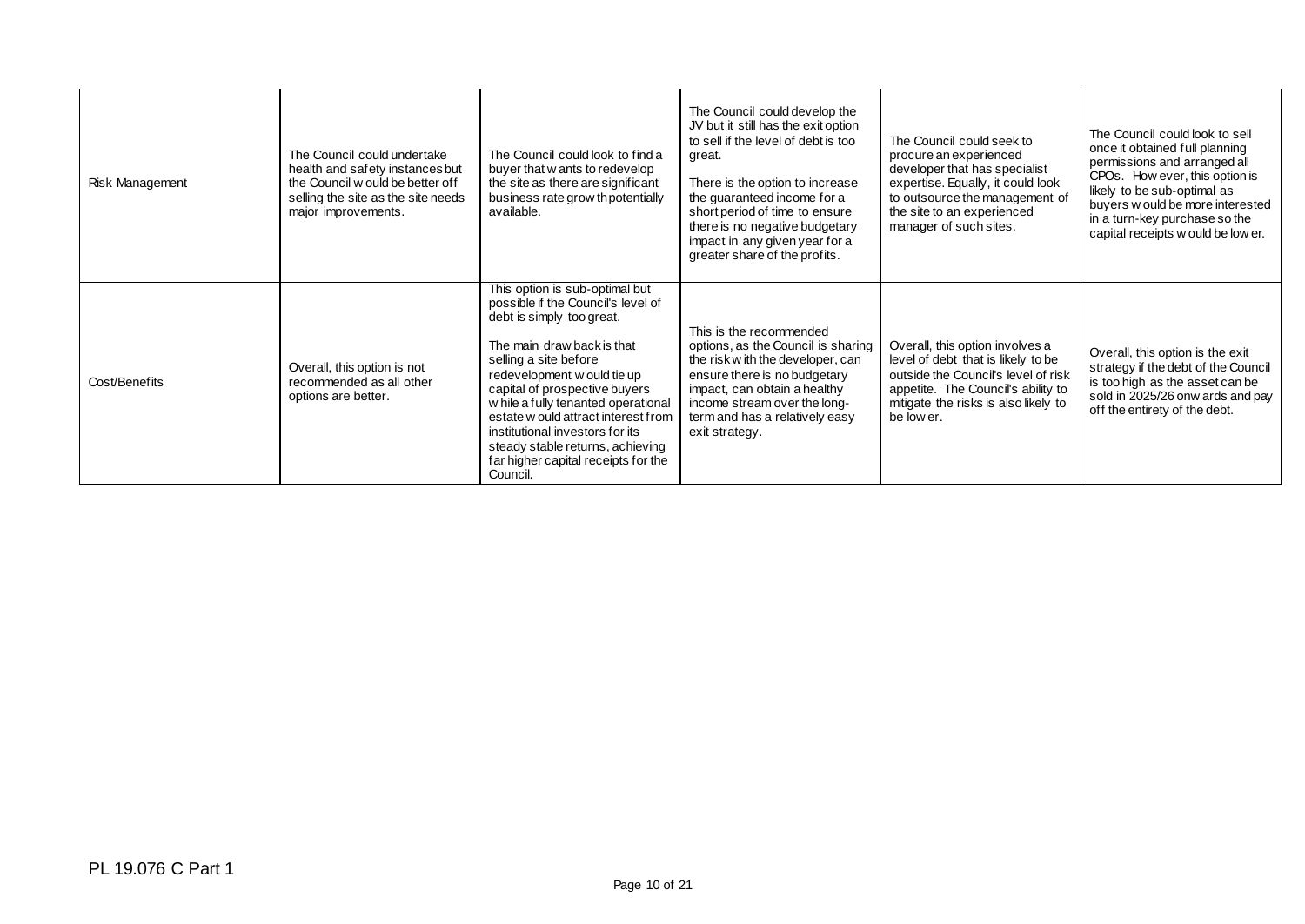| Risk Management | The Council could undertake<br>health and safety instances but<br>the Council w ould be better of f<br>selling the site as the site needs<br>major improvements. | The Council could look to find a<br>buyer that w ants to redevelop<br>the site as there are significant<br>business rate grow thpotentially<br>available.                                                                                                                                                                                                                                                                        | The Council could develop the<br>JV but it still has the exit option<br>to sell if the level of debt is too<br>areat.<br>There is the option to increase<br>the guaranteed income for a<br>short period of time to ensure<br>there is no negative budgetary<br>impact in any given year for a<br>greater share of the profits. | The Council could seek to<br>procure an experienced<br>developer that has specialist<br>expertise. Equally, it could look<br>to outsource the management of<br>the site to an experienced<br>manager of such sites. | The Council could look to sell<br>once it obtained full planning<br>permissions and arranged all<br>CPOs. How ever, this option is<br>likely to be sub-optimal as<br>buyers w ould be more interested<br>in a turn-key purchase so the<br>capital receipts w ould be low er. |
|-----------------|------------------------------------------------------------------------------------------------------------------------------------------------------------------|----------------------------------------------------------------------------------------------------------------------------------------------------------------------------------------------------------------------------------------------------------------------------------------------------------------------------------------------------------------------------------------------------------------------------------|--------------------------------------------------------------------------------------------------------------------------------------------------------------------------------------------------------------------------------------------------------------------------------------------------------------------------------|---------------------------------------------------------------------------------------------------------------------------------------------------------------------------------------------------------------------|------------------------------------------------------------------------------------------------------------------------------------------------------------------------------------------------------------------------------------------------------------------------------|
| Cost/Benefits   | Overall, this option is not<br>recommended as all other<br>options are better.                                                                                   | This option is sub-optimal but<br>possible if the Council's level of<br>debt is simply too great.<br>The main draw back is that<br>selling a site before<br>redevelopment w ould tie up<br>capital of prospective buyers<br>w hile a fully tenanted operational<br>estate w ould attract interest from<br>institutional investors for its<br>steady stable returns, achieving<br>far higher capital receipts for the<br>Council. | This is the recommended<br>options, as the Council is sharing<br>the risk w ith the developer, can<br>ensure there is no budgetary<br>impact, can obtain a healthy<br>income stream over the long-<br>term and has a relatively easy<br>exit strategy.                                                                         | Overall, this option involves a<br>level of debt that is likely to be<br>outside the Council's level of risk<br>appetite. The Council's ability to<br>mitigate the risks is also likely to<br>be low er.            | Overall, this option is the exit<br>strategy if the debt of the Council<br>is too high as the asset can be<br>sold in 2025/26 onw ards and pay<br>off the entirety of the debt.                                                                                              |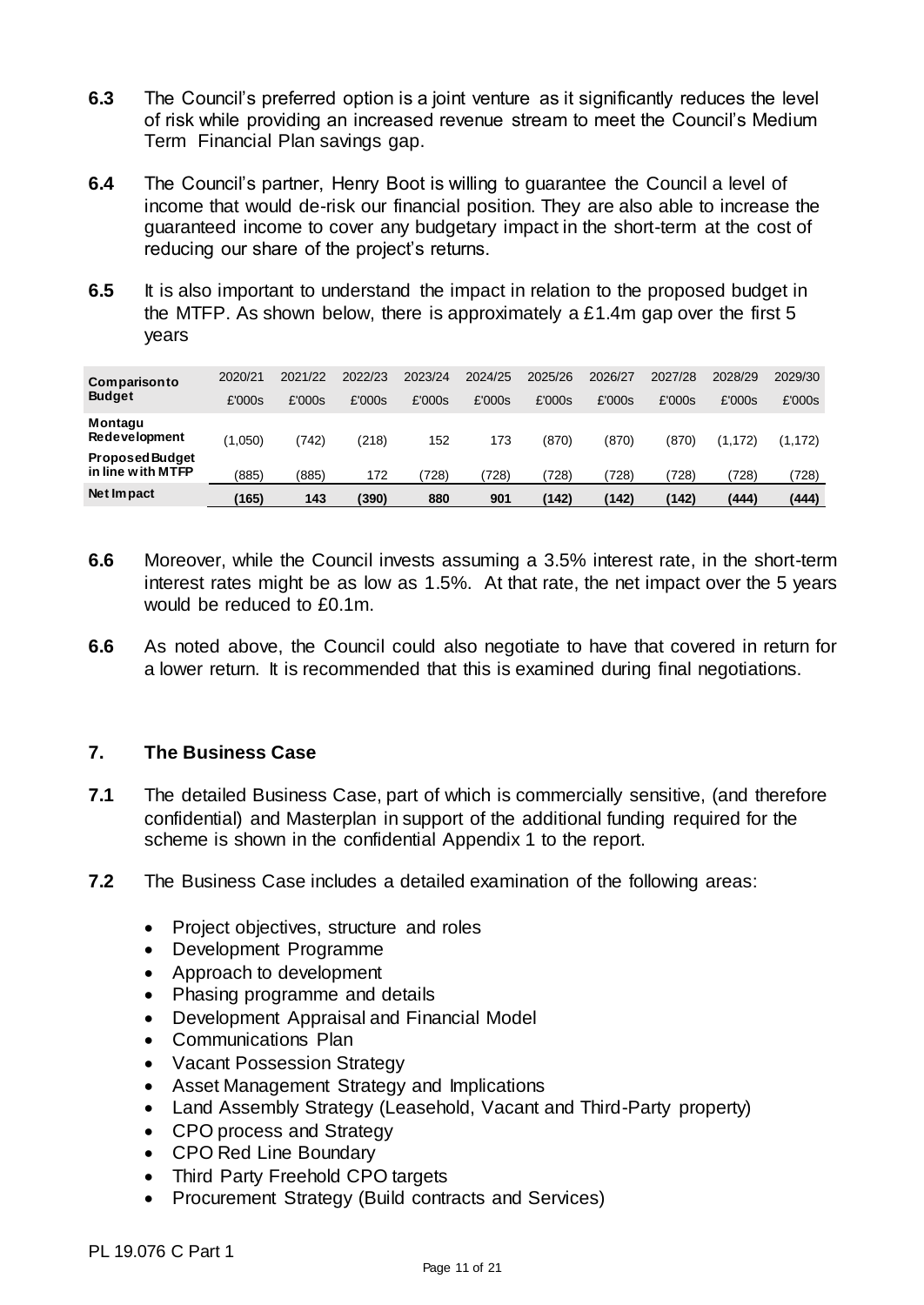- **6.3** The Council's preferred option is a joint venture as it significantly reduces the level of risk while providing an increased revenue stream to meet the Council's Medium Term Financial Plan savings gap.
- **6.4** The Council's partner, Henry Boot is willing to guarantee the Council a level of income that would de-risk our financial position. They are also able to increase the guaranteed income to cover any budgetary impact in the short-term at the cost of reducing our share of the project's returns.
- **6.5** It is also important to understand the impact in relation to the proposed budget in the MTFP. As shown below, there is approximately a £1.4m gap over the first 5 years

| Comparisonto<br><b>Budget</b>               | 2020/21 | 2021/22 | 2022/23 | 2023/24 | 2024/25 | 2025/26 | 2026/27 | 2027/28 | 2028/29  | 2029/30  |
|---------------------------------------------|---------|---------|---------|---------|---------|---------|---------|---------|----------|----------|
|                                             | £'000s  | £'000s  | £'000s  | £'000s  | £'000s  | £'000s  | £'000s  | £'000s  | £'000s   | £'000s   |
| Montagu<br>Redevelopment                    | (1,050) | (742    | (218)   | 152     | 173     | (870)   | (870)   | (870)   | (1, 172) | (1, 172) |
| <b>Proposed Budget</b><br>in line with MTFP | (885)   | (885)   | 172     | 728)    | (728)   | 728)    | 728)    | 728)    | (728)    | (728)    |
| Net Impact                                  | (165)   | 143     | (390)   | 880     | 901     | (142)   | (142)   | (142)   | (444)    | (444)    |

- **6.6** Moreover, while the Council invests assuming a 3.5% interest rate, in the short-term interest rates might be as low as 1.5%. At that rate, the net impact over the 5 years would be reduced to £0.1m.
- **6.6** As noted above, the Council could also negotiate to have that covered in return for a lower return. It is recommended that this is examined during final negotiations.

## **7. The Business Case**

- **7.1** The detailed Business Case, part of which is commercially sensitive, (and therefore confidential) and Masterplan in support of the additional funding required for the scheme is shown in the confidential Appendix 1 to the report.
- **7.2** The Business Case includes a detailed examination of the following areas:
	- Project objectives, structure and roles
	- Development Programme
	- Approach to development
	- Phasing programme and details
	- Development Appraisal and Financial Model
	- Communications Plan
	- Vacant Possession Strategy
	- Asset Management Strategy and Implications
	- Land Assembly Strategy (Leasehold, Vacant and Third-Party property)
	- CPO process and Strategy
	- CPO Red Line Boundary
	- Third Party Freehold CPO targets
	- Procurement Strategy (Build contracts and Services)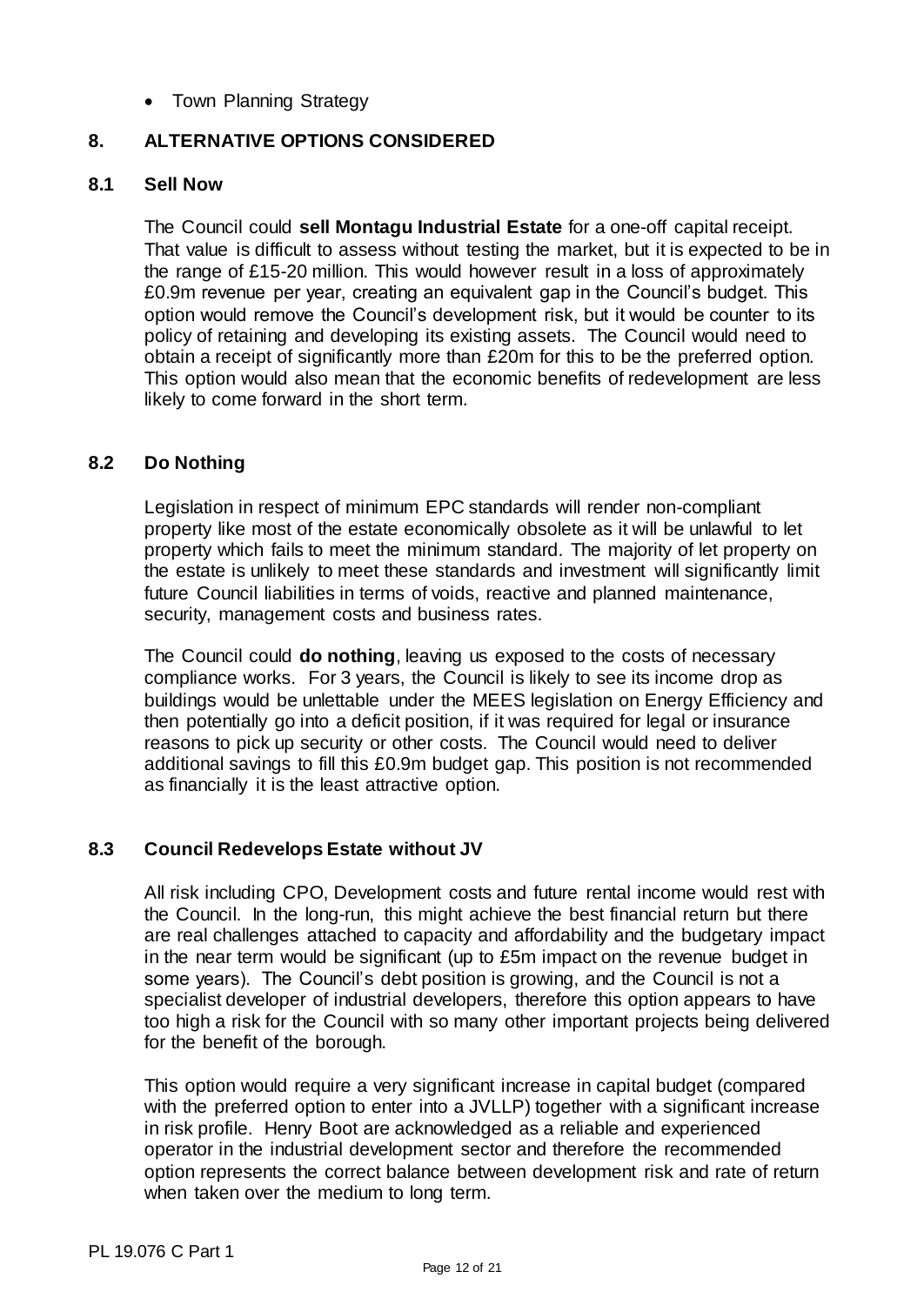• Town Planning Strategy

## **8. ALTERNATIVE OPTIONS CONSIDERED**

#### **8.1 Sell Now**

The Council could **sell Montagu Industrial Estate** for a one-off capital receipt. That value is difficult to assess without testing the market, but it is expected to be in the range of £15-20 million. This would however result in a loss of approximately £0.9m revenue per year, creating an equivalent gap in the Council's budget. This option would remove the Council's development risk, but it would be counter to its policy of retaining and developing its existing assets. The Council would need to obtain a receipt of significantly more than £20m for this to be the preferred option. This option would also mean that the economic benefits of redevelopment are less likely to come forward in the short term.

#### **8.2 Do Nothing**

Legislation in respect of minimum EPC standards will render non-compliant property like most of the estate economically obsolete as it will be unlawful to let property which fails to meet the minimum standard. The majority of let property on the estate is unlikely to meet these standards and investment will significantly limit future Council liabilities in terms of voids, reactive and planned maintenance, security, management costs and business rates.

The Council could **do nothing**, leaving us exposed to the costs of necessary compliance works. For 3 years, the Council is likely to see its income drop as buildings would be unlettable under the MEES legislation on Energy Efficiency and then potentially go into a deficit position, if it was required for legal or insurance reasons to pick up security or other costs. The Council would need to deliver additional savings to fill this £0.9m budget gap. This position is not recommended as financially it is the least attractive option.

#### **8.3 Council Redevelops Estate without JV**

All risk including CPO, Development costs and future rental income would rest with the Council. In the long-run, this might achieve the best financial return but there are real challenges attached to capacity and affordability and the budgetary impact in the near term would be significant (up to £5m impact on the revenue budget in some years). The Council's debt position is growing, and the Council is not a specialist developer of industrial developers, therefore this option appears to have too high a risk for the Council with so many other important projects being delivered for the benefit of the borough.

This option would require a very significant increase in capital budget (compared with the preferred option to enter into a JVLLP) together with a significant increase in risk profile. Henry Boot are acknowledged as a reliable and experienced operator in the industrial development sector and therefore the recommended option represents the correct balance between development risk and rate of return when taken over the medium to long term.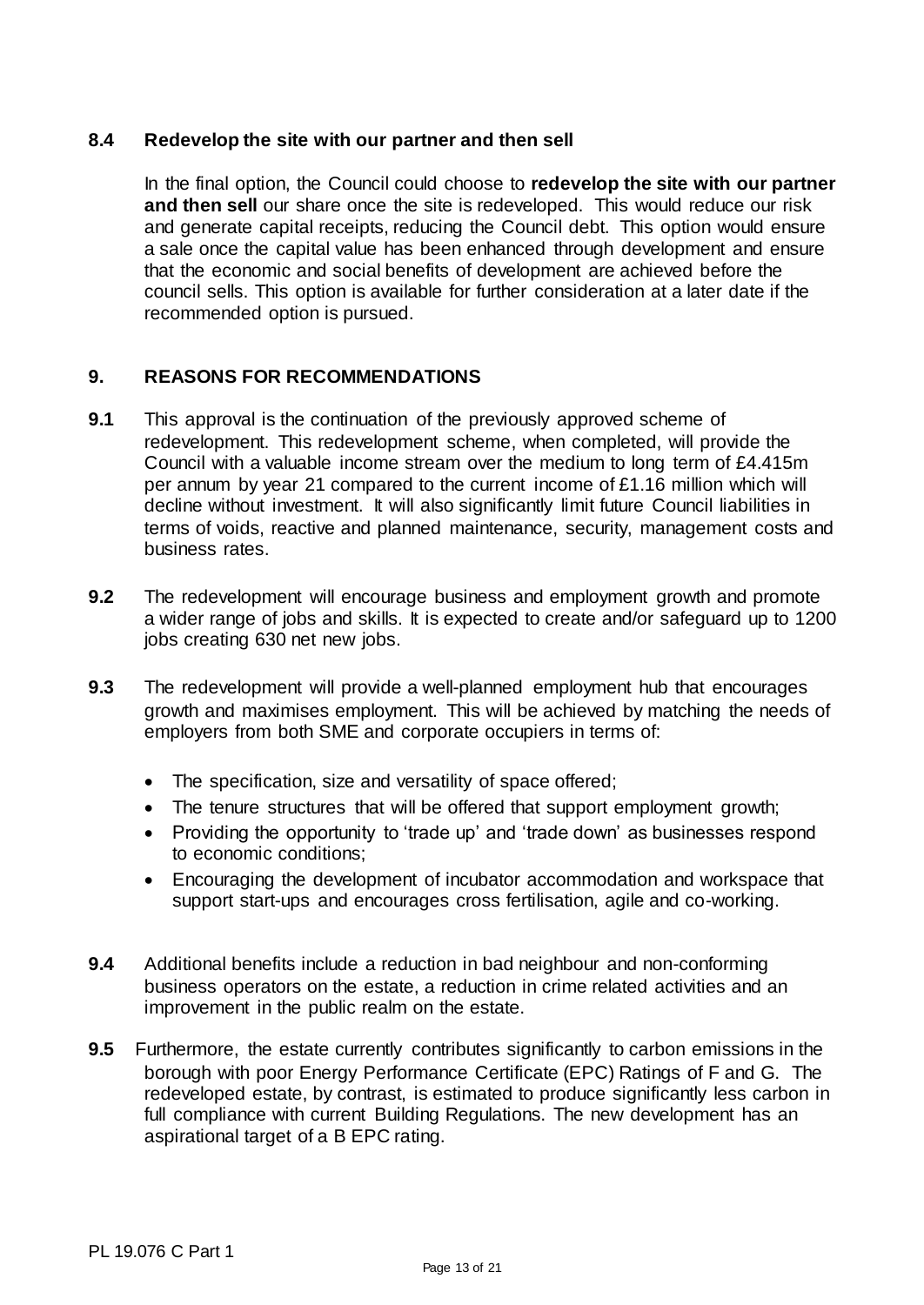### **8.4 Redevelop the site with our partner and then sell**

In the final option, the Council could choose to **redevelop the site with our partner and then sell** our share once the site is redeveloped. This would reduce our risk and generate capital receipts, reducing the Council debt. This option would ensure a sale once the capital value has been enhanced through development and ensure that the economic and social benefits of development are achieved before the council sells. This option is available for further consideration at a later date if the recommended option is pursued.

## **9. REASONS FOR RECOMMENDATIONS**

- **9.1** This approval is the continuation of the previously approved scheme of redevelopment. This redevelopment scheme, when completed, will provide the Council with a valuable income stream over the medium to long term of £4.415m per annum by year 21 compared to the current income of £1.16 million which will decline without investment. It will also significantly limit future Council liabilities in terms of voids, reactive and planned maintenance, security, management costs and business rates.
- **9.2** The redevelopment will encourage business and employment growth and promote a wider range of jobs and skills. It is expected to create and/or safeguard up to 1200 jobs creating 630 net new jobs.
- **9.3** The redevelopment will provide a well-planned employment hub that encourages growth and maximises employment. This will be achieved by matching the needs of employers from both SME and corporate occupiers in terms of:
	- The specification, size and versatility of space offered;
	- The tenure structures that will be offered that support employment growth;
	- Providing the opportunity to 'trade up' and 'trade down' as businesses respond to economic conditions;
	- Encouraging the development of incubator accommodation and workspace that support start-ups and encourages cross fertilisation, agile and co-working.
- **9.4** Additional benefits include a reduction in bad neighbour and non-conforming business operators on the estate, a reduction in crime related activities and an improvement in the public realm on the estate.
- **9.5** Furthermore, the estate currently contributes significantly to carbon emissions in the borough with poor Energy Performance Certificate (EPC) Ratings of F and G. The redeveloped estate, by contrast, is estimated to produce significantly less carbon in full compliance with current Building Regulations. The new development has an aspirational target of a B EPC rating.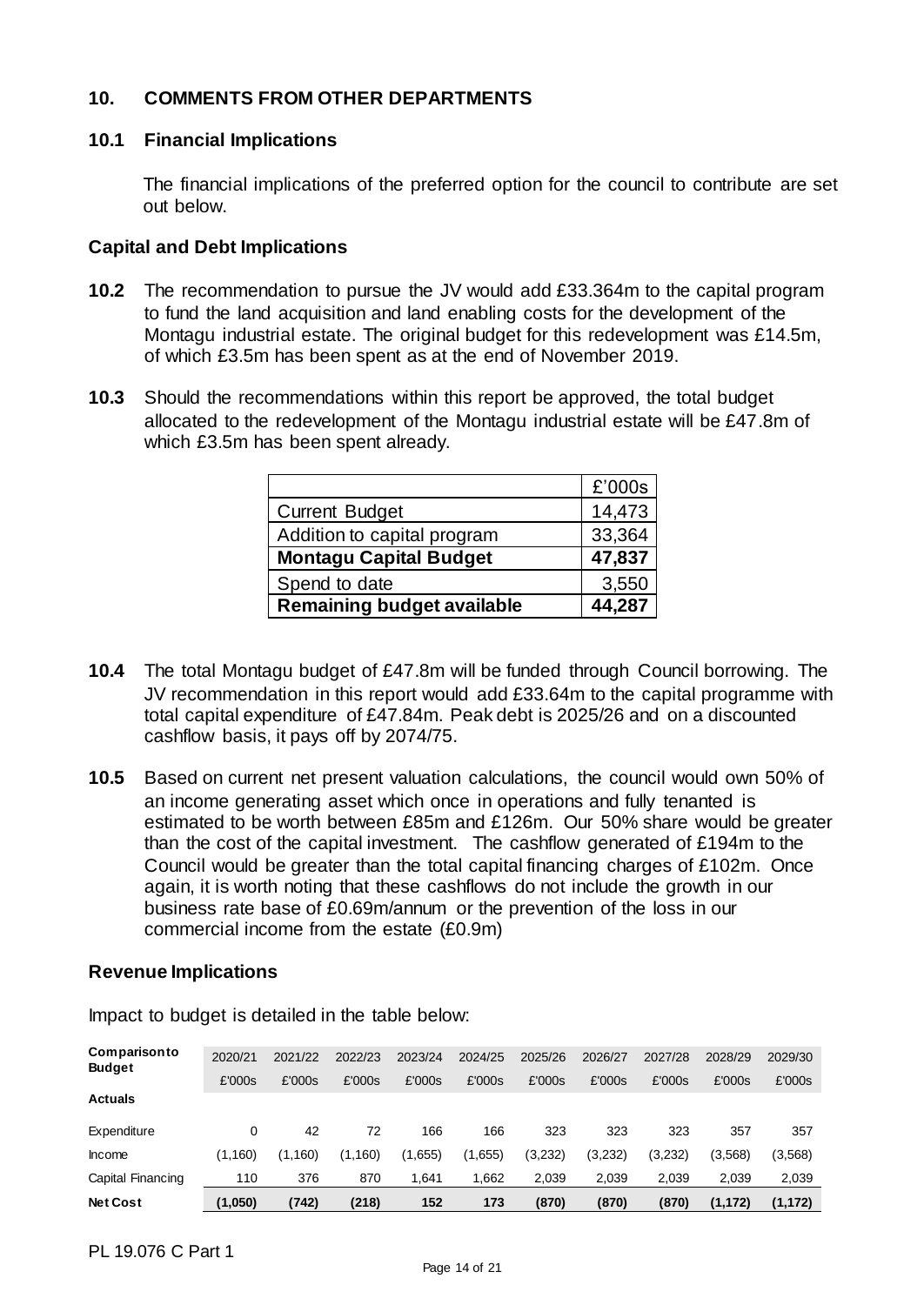## **10. COMMENTS FROM OTHER DEPARTMENTS**

#### **10.1 Financial Implications**

The financial implications of the preferred option for the council to contribute are set out below.

#### **Capital and Debt Implications**

- **10.2** The recommendation to pursue the JV would add £33.364m to the capital program to fund the land acquisition and land enabling costs for the development of the Montagu industrial estate. The original budget for this redevelopment was £14.5m, of which £3.5m has been spent as at the end of November 2019.
- **10.3** Should the recommendations within this report be approved, the total budget allocated to the redevelopment of the Montagu industrial estate will be £47.8m of which £3.5m has been spent already.

|                                   | £'000s |
|-----------------------------------|--------|
| <b>Current Budget</b>             | 14,473 |
| Addition to capital program       | 33,364 |
| <b>Montagu Capital Budget</b>     | 47,837 |
| Spend to date                     | 3,550  |
| <b>Remaining budget available</b> | 44,287 |

- **10.4** The total Montagu budget of £47.8m will be funded through Council borrowing. The JV recommendation in this report would add £33.64m to the capital programme with total capital expenditure of £47.84m. Peak debt is 2025/26 and on a discounted cashflow basis, it pays off by 2074/75.
- **10.5** Based on current net present valuation calculations, the council would own 50% of an income generating asset which once in operations and fully tenanted is estimated to be worth between £85m and £126m. Our 50% share would be greater than the cost of the capital investment. The cashflow generated of £194m to the Council would be greater than the total capital financing charges of £102m. Once again, it is worth noting that these cashflows do not include the growth in our business rate base of £0.69m/annum or the prevention of the loss in our commercial income from the estate (£0.9m)

#### **Revenue Implications**

| <b>Net Cost</b>               | (1,050) | (742)   | (218)   | 152     | 173     | (870)   | (870)   | (870)   | (1,172) | (1, 172) |
|-------------------------------|---------|---------|---------|---------|---------|---------|---------|---------|---------|----------|
| Capital Financing             | 110     | 376     | 870     | 1.641   | .662    | 2,039   | 2,039   | 2,039   | 2,039   | 2,039    |
| Income                        | (1,160) | (1,160) | (1,160) | (1,655) | (1.655) | (3,232) | (3,232) | (3,232) | (3,568) | (3,568)  |
| Expenditure                   | 0       | 42      | 72      | 166     | 166     | 323     | 323     | 323     | 357     | 357      |
| <b>Actuals</b>                |         |         |         |         |         |         |         |         |         |          |
|                               | £'000s  | £'000s  | £'000s  | £'000s  | £'000s  | £'000s  | £'000s  | £'000s  | £'000s  | £'000s   |
| Comparisonto<br><b>Budget</b> | 2020/21 | 2021/22 | 2022/23 | 2023/24 | 2024/25 | 2025/26 | 2026/27 | 2027/28 | 2028/29 | 2029/30  |
|                               |         |         |         |         |         |         |         |         |         |          |

Impact to budget is detailed in the table below: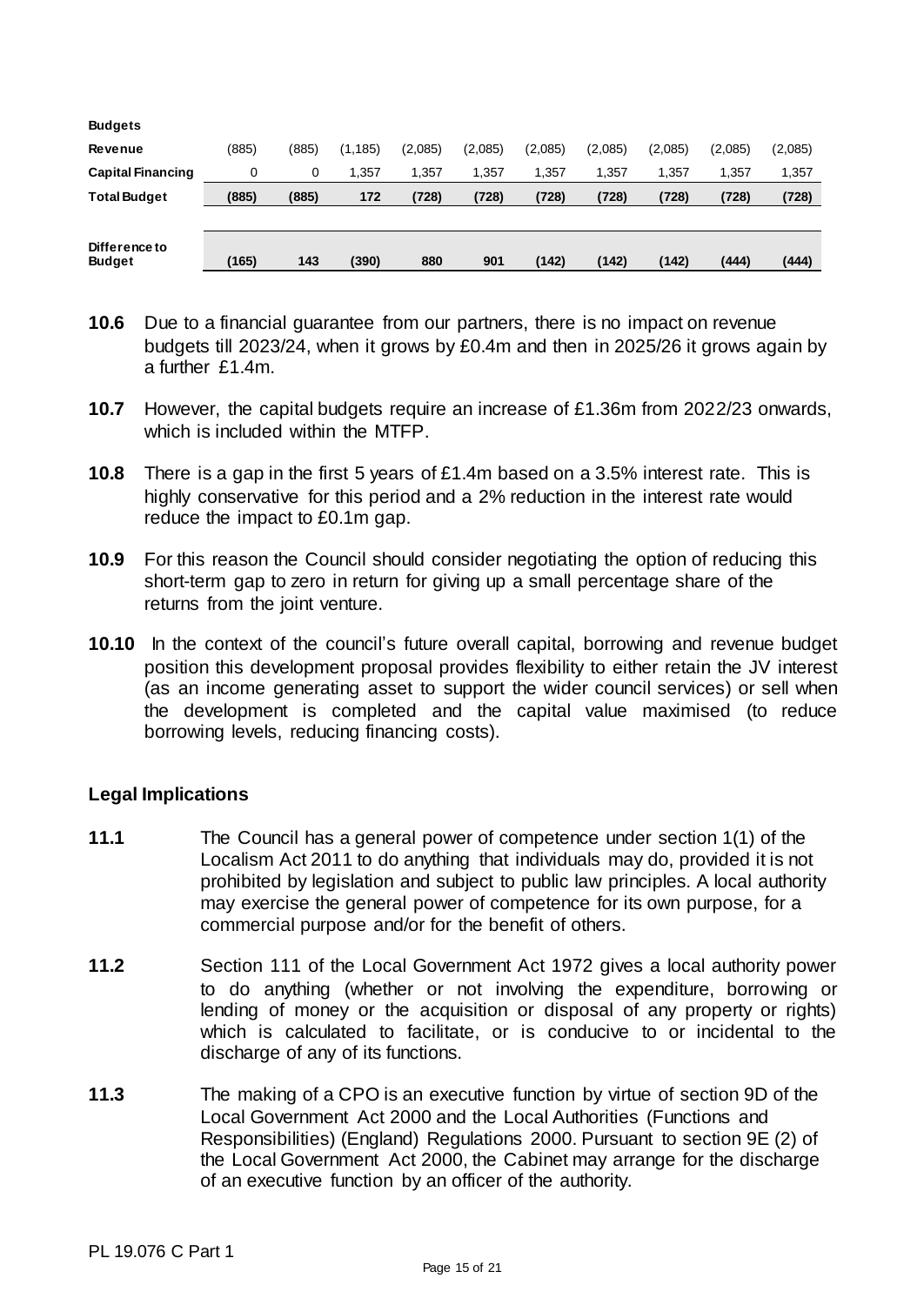| <b>Budgets</b>                 |       |       |          |         |         |         |         |         |         |         |
|--------------------------------|-------|-------|----------|---------|---------|---------|---------|---------|---------|---------|
| <b>Revenue</b>                 | (885) | (885) | (1, 185) | (2.085) | (2,085) | (2,085) | (2,085) | (2,085) | (2,085) | (2,085) |
| <b>Capital Financing</b>       | 0     | 0     | 1.357    | 1.357   | 1.357   | 1.357   | 1.357   | 1,357   | 1,357   | 1,357   |
| <b>Total Budget</b>            | (885) | (885) | 172      | (728)   | (728)   | (728)   | (728)   | (728)   | (728)   | (728)   |
|                                |       |       |          |         |         |         |         |         |         |         |
| Difference to<br><b>Budget</b> | (165) | 143   | (390)    | 880     | 901     | (142)   | (142)   | (142)   | (444)   | (444)   |

- **10.6** Due to a financial guarantee from our partners, there is no impact on revenue budgets till 2023/24, when it grows by £0.4m and then in 2025/26 it grows again by a further £1.4m.
- **10.7** However, the capital budgets require an increase of £1.36m from 2022/23 onwards, which is included within the MTFP.
- **10.8** There is a gap in the first 5 years of £1.4m based on a 3.5% interest rate. This is highly conservative for this period and a 2% reduction in the interest rate would reduce the impact to £0.1m gap.
- **10.9** For this reason the Council should consider negotiating the option of reducing this short-term gap to zero in return for giving up a small percentage share of the returns from the joint venture.
- **10.10** In the context of the council's future overall capital, borrowing and revenue budget position this development proposal provides flexibility to either retain the JV interest (as an income generating asset to support the wider council services) or sell when the development is completed and the capital value maximised (to reduce borrowing levels, reducing financing costs).

#### **Legal Implications**

- **11.1** The Council has a general power of competence under section 1(1) of the Localism Act 2011 to do anything that individuals may do, provided it is not prohibited by legislation and subject to public law principles. A local authority may exercise the general power of competence for its own purpose, for a commercial purpose and/or for the benefit of others.
- **11.2** Section 111 of the Local Government Act 1972 gives a local authority power to do anything (whether or not involving the expenditure, borrowing or lending of money or the acquisition or disposal of any property or rights) which is calculated to facilitate, or is conducive to or incidental to the discharge of any of its functions.
- **11.3** The making of a CPO is an executive function by virtue of section 9D of the Local Government Act 2000 and the Local Authorities (Functions and Responsibilities) (England) Regulations 2000. Pursuant to section 9E (2) of the Local Government Act 2000, the Cabinet may arrange for the discharge of an executive function by an officer of the authority.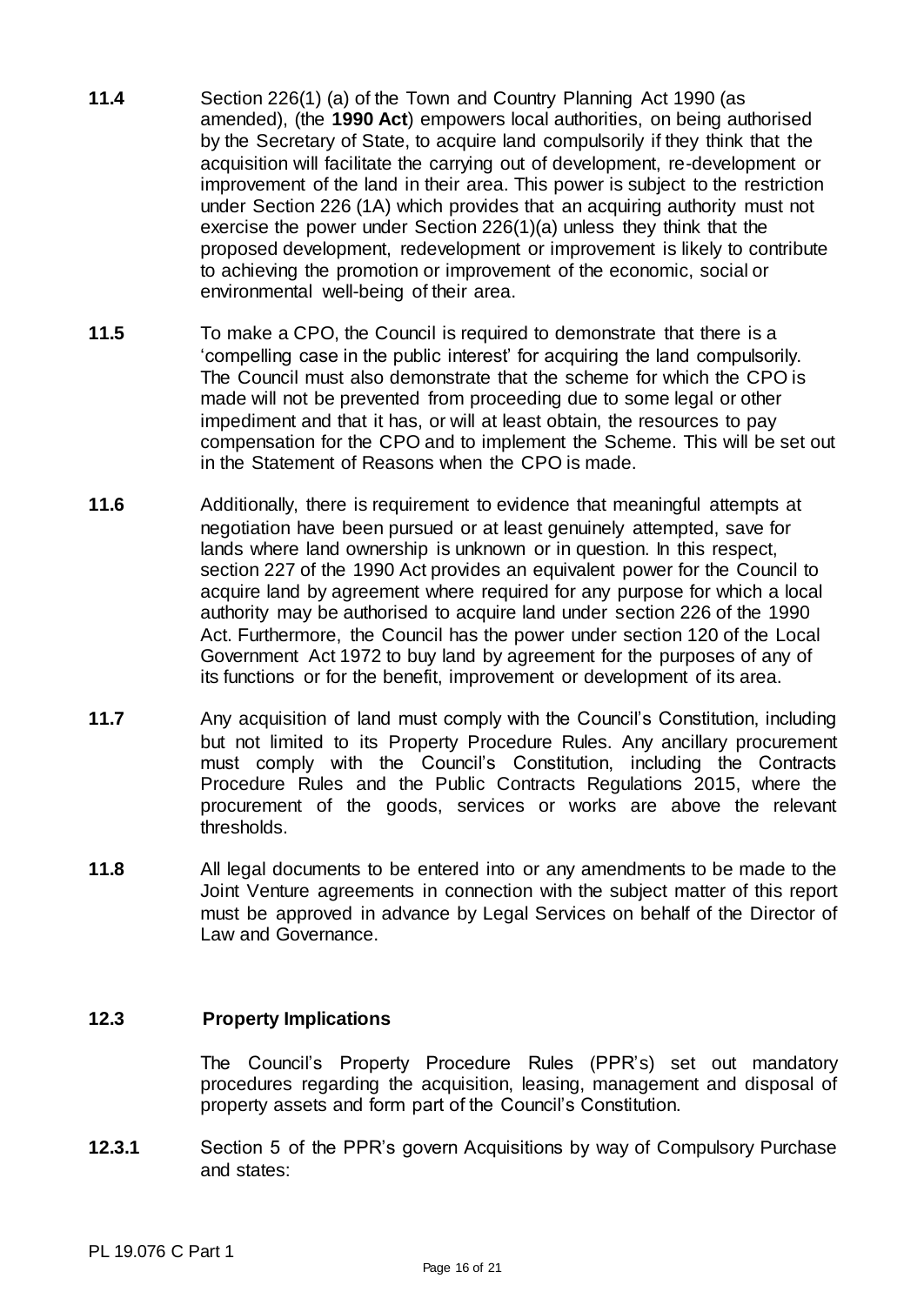- **11.4** Section 226(1) (a) of the Town and Country Planning Act 1990 (as amended), (the **1990 Act**) empowers local authorities, on being authorised by the Secretary of State, to acquire land compulsorily if they think that the acquisition will facilitate the carrying out of development, re-development or improvement of the land in their area. This power is subject to the restriction under Section 226 (1A) which provides that an acquiring authority must not exercise the power under Section 226(1)(a) unless they think that the proposed development, redevelopment or improvement is likely to contribute to achieving the promotion or improvement of the economic, social or environmental well-being of their area.
- **11.5** To make a CPO, the Council is required to demonstrate that there is a 'compelling case in the public interest' for acquiring the land compulsorily. The Council must also demonstrate that the scheme for which the CPO is made will not be prevented from proceeding due to some legal or other impediment and that it has, or will at least obtain, the resources to pay compensation for the CPO and to implement the Scheme. This will be set out in the Statement of Reasons when the CPO is made.
- **11.6** Additionally, there is requirement to evidence that meaningful attempts at negotiation have been pursued or at least genuinely attempted, save for lands where land ownership is unknown or in question. In this respect, section 227 of the 1990 Act provides an equivalent power for the Council to acquire land by agreement where required for any purpose for which a local authority may be authorised to acquire land under section 226 of the 1990 Act. Furthermore, the Council has the power under section 120 of the Local Government Act 1972 to buy land by agreement for the purposes of any of its functions or for the benefit, improvement or development of its area.
- **11.7** Any acquisition of land must comply with the Council's Constitution, including but not limited to its Property Procedure Rules. Any ancillary procurement must comply with the Council's Constitution, including the Contracts Procedure Rules and the Public Contracts Regulations 2015, where the procurement of the goods, services or works are above the relevant thresholds.
- **11.8** All legal documents to be entered into or any amendments to be made to the Joint Venture agreements in connection with the subject matter of this report must be approved in advance by Legal Services on behalf of the Director of Law and Governance.

#### **12.3 Property Implications**

The Council's Property Procedure Rules (PPR's) set out mandatory procedures regarding the acquisition, leasing, management and disposal of property assets and form part of the Council's Constitution.

**12.3.1** Section 5 of the PPR's govern Acquisitions by way of Compulsory Purchase and states: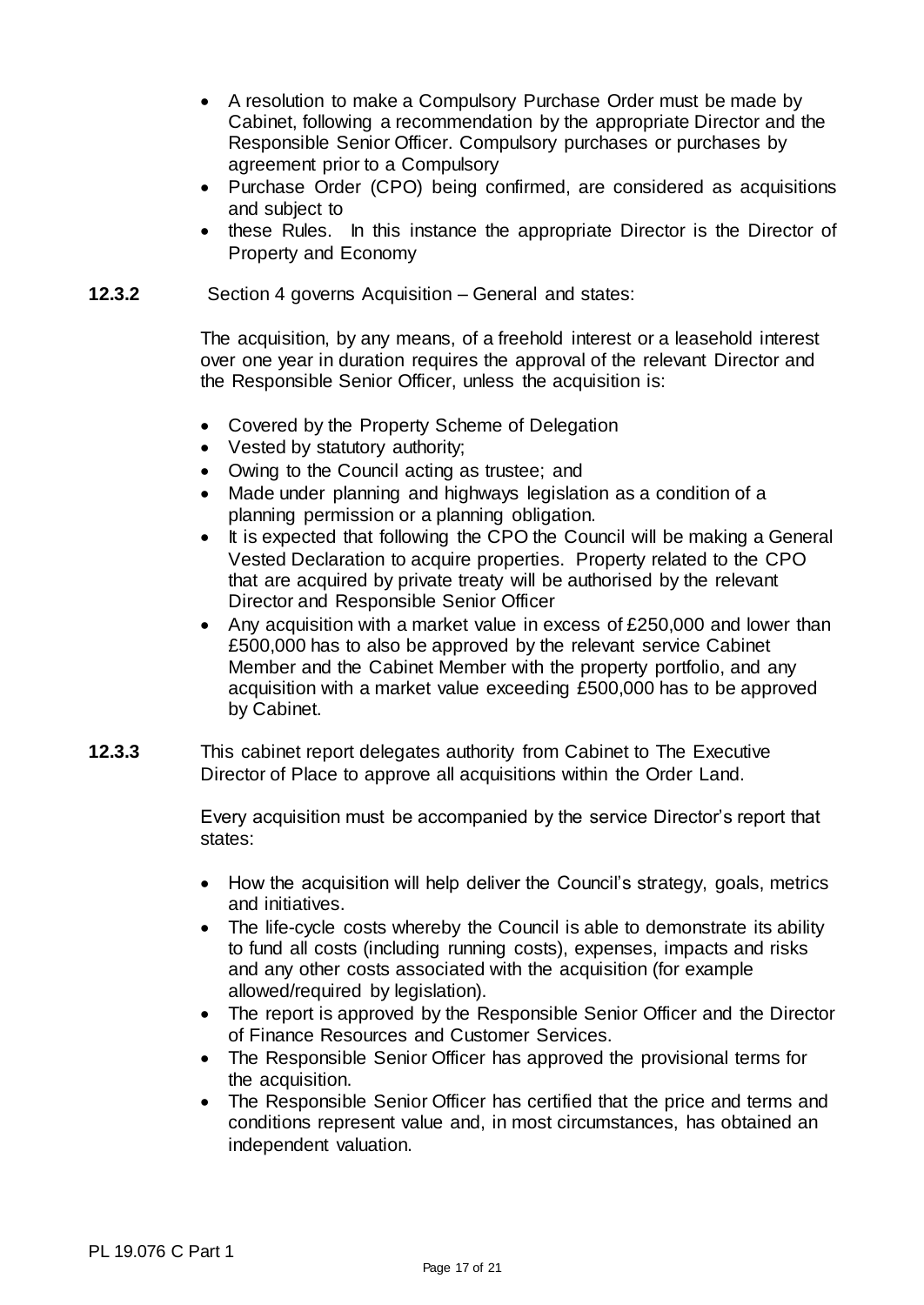- A resolution to make a Compulsory Purchase Order must be made by Cabinet, following a recommendation by the appropriate Director and the Responsible Senior Officer. Compulsory purchases or purchases by agreement prior to a Compulsory
- Purchase Order (CPO) being confirmed, are considered as acquisitions and subject to
- these Rules. In this instance the appropriate Director is the Director of Property and Economy
- **12.3.2** Section 4 governs Acquisition General and states:

The acquisition, by any means, of a freehold interest or a leasehold interest over one year in duration requires the approval of the relevant Director and the Responsible Senior Officer, unless the acquisition is:

- Covered by the Property Scheme of Delegation
- Vested by statutory authority;
- Owing to the Council acting as trustee; and
- Made under planning and highways legislation as a condition of a planning permission or a planning obligation.
- It is expected that following the CPO the Council will be making a General Vested Declaration to acquire properties. Property related to the CPO that are acquired by private treaty will be authorised by the relevant Director and Responsible Senior Officer
- Any acquisition with a market value in excess of £250,000 and lower than £500,000 has to also be approved by the relevant service Cabinet Member and the Cabinet Member with the property portfolio, and any acquisition with a market value exceeding £500,000 has to be approved by Cabinet.
- **12.3.3** This cabinet report delegates authority from Cabinet to The Executive Director of Place to approve all acquisitions within the Order Land.

Every acquisition must be accompanied by the service Director's report that states:

- How the acquisition will help deliver the Council's strategy, goals, metrics and initiatives.
- The life-cycle costs whereby the Council is able to demonstrate its ability to fund all costs (including running costs), expenses, impacts and risks and any other costs associated with the acquisition (for example allowed/required by legislation).
- The report is approved by the Responsible Senior Officer and the Director of Finance Resources and Customer Services.
- The Responsible Senior Officer has approved the provisional terms for the acquisition.
- The Responsible Senior Officer has certified that the price and terms and conditions represent value and, in most circumstances, has obtained an independent valuation.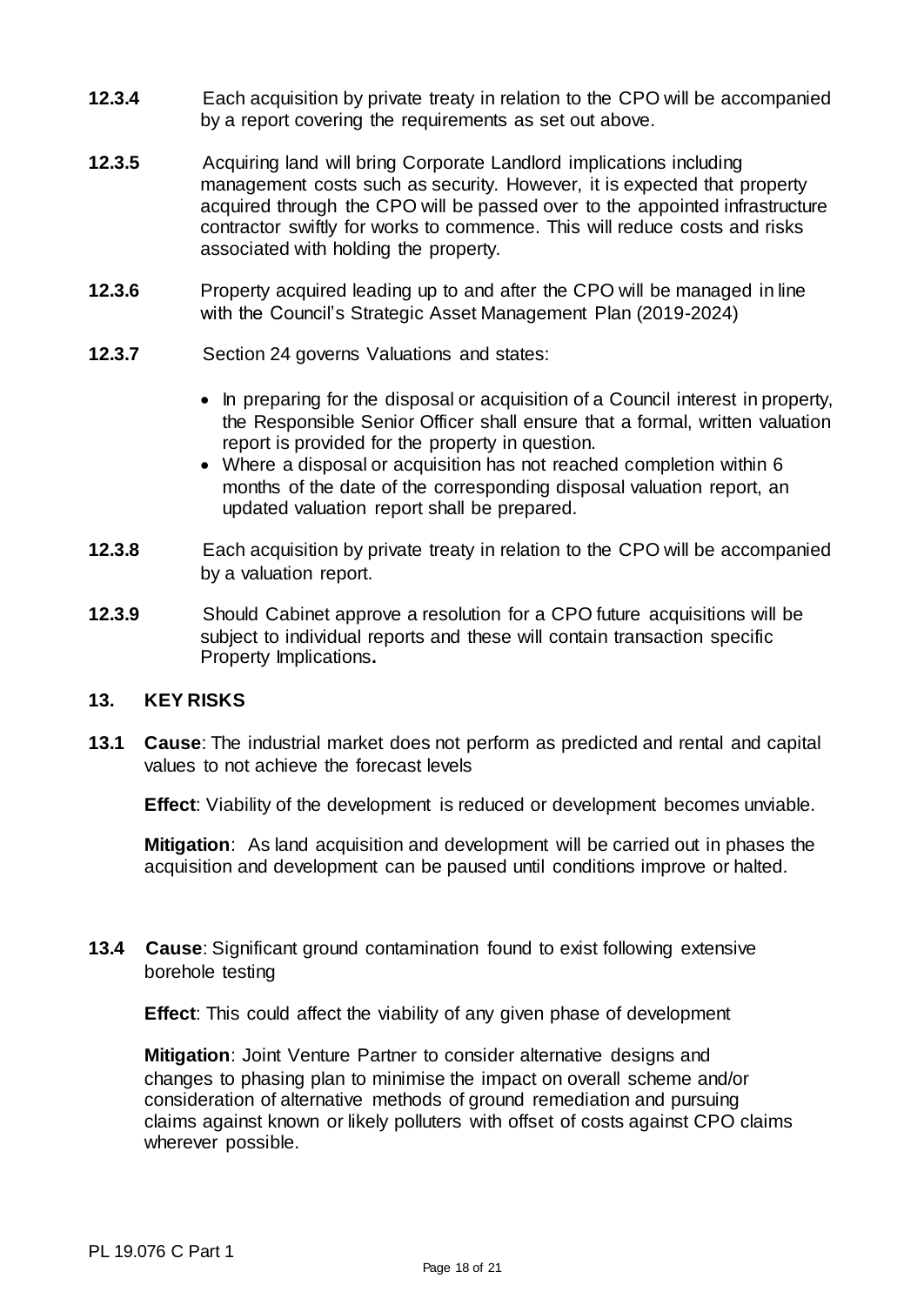- **12.3.4** Each acquisition by private treaty in relation to the CPO will be accompanied by a report covering the requirements as set out above.
- **12.3.5** Acquiring land will bring Corporate Landlord implications including management costs such as security. However, it is expected that property acquired through the CPO will be passed over to the appointed infrastructure contractor swiftly for works to commence. This will reduce costs and risks associated with holding the property.
- **12.3.6** Property acquired leading up to and after the CPO will be managed in line with the Council's Strategic Asset Management Plan (2019-2024)
- **12.3.7** Section 24 governs Valuations and states:
	- In preparing for the disposal or acquisition of a Council interest in property, the Responsible Senior Officer shall ensure that a formal, written valuation report is provided for the property in question.
	- Where a disposal or acquisition has not reached completion within 6 months of the date of the corresponding disposal valuation report, an updated valuation report shall be prepared.
- **12.3.8** Each acquisition by private treaty in relation to the CPO will be accompanied by a valuation report.
- **12.3.9** Should Cabinet approve a resolution for a CPO future acquisitions will be subject to individual reports and these will contain transaction specific Property Implications**.**

### **13. KEY RISKS**

**13.1 Cause**: The industrial market does not perform as predicted and rental and capital values to not achieve the forecast levels

**Effect**: Viability of the development is reduced or development becomes unviable.

**Mitigation**: As land acquisition and development will be carried out in phases the acquisition and development can be paused until conditions improve or halted.

**13.4 Cause**: Significant ground contamination found to exist following extensive borehole testing

**Effect**: This could affect the viability of any given phase of development

**Mitigation**: Joint Venture Partner to consider alternative designs and changes to phasing plan to minimise the impact on overall scheme and/or consideration of alternative methods of ground remediation and pursuing claims against known or likely polluters with offset of costs against CPO claims wherever possible.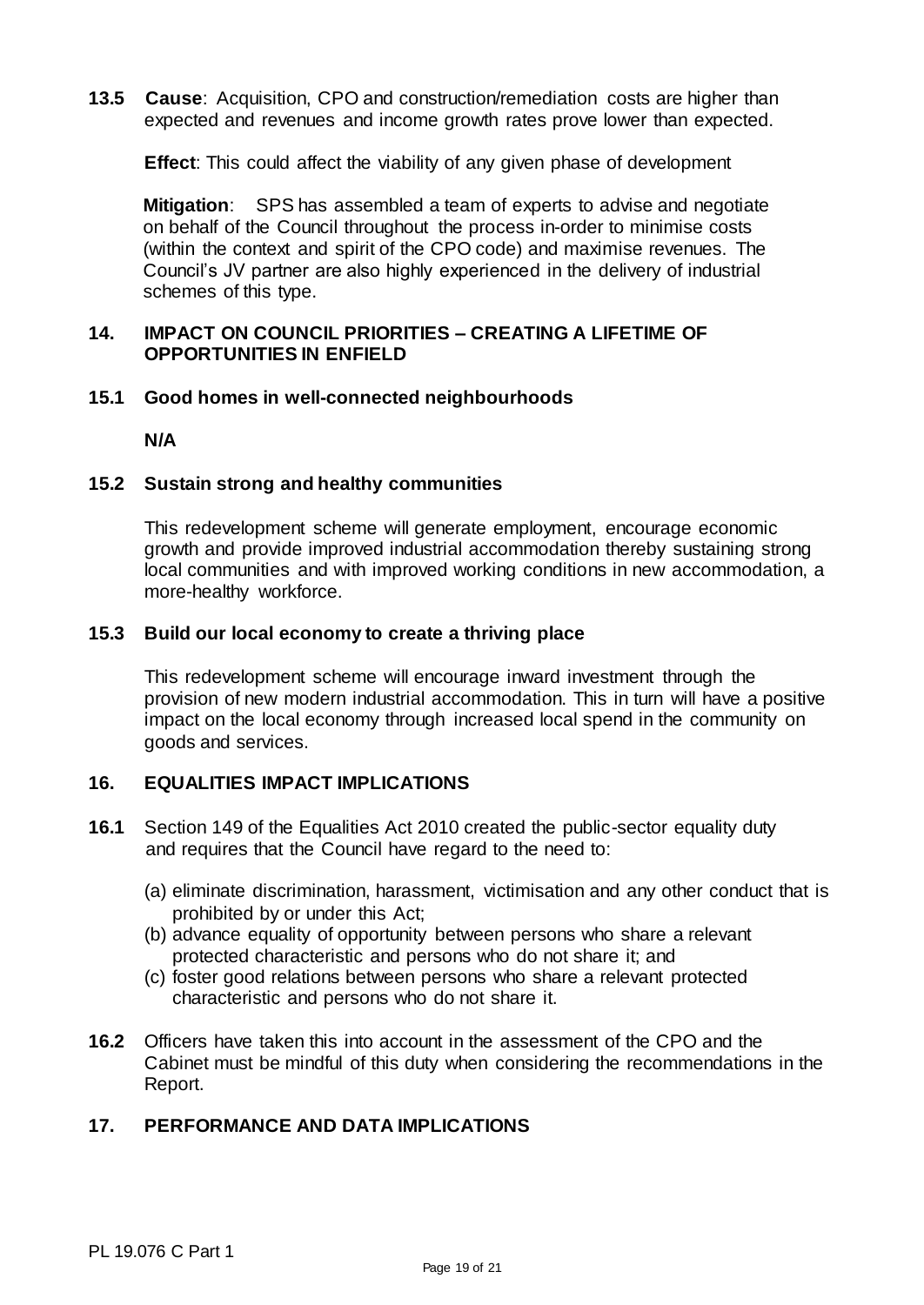**13.5 Cause**: Acquisition, CPO and construction/remediation costs are higher than expected and revenues and income growth rates prove lower than expected.

**Effect**: This could affect the viability of any given phase of development

**Mitigation**: SPS has assembled a team of experts to advise and negotiate on behalf of the Council throughout the process in-order to minimise costs (within the context and spirit of the CPO code) and maximise revenues. The Council's JV partner are also highly experienced in the delivery of industrial schemes of this type.

#### **14. IMPACT ON COUNCIL PRIORITIES – CREATING A LIFETIME OF OPPORTUNITIES IN ENFIELD**

#### **15.1 Good homes in well-connected neighbourhoods**

**N/A**

#### **15.2 Sustain strong and healthy communities**

This redevelopment scheme will generate employment, encourage economic growth and provide improved industrial accommodation thereby sustaining strong local communities and with improved working conditions in new accommodation, a more-healthy workforce.

#### **15.3 Build our local economy to create a thriving place**

This redevelopment scheme will encourage inward investment through the provision of new modern industrial accommodation. This in turn will have a positive impact on the local economy through increased local spend in the community on goods and services.

## **16. EQUALITIES IMPACT IMPLICATIONS**

- **16.1** Section 149 of the Equalities Act 2010 created the public-sector equality duty and requires that the Council have regard to the need to:
	- (a) eliminate discrimination, harassment, victimisation and any other conduct that is prohibited by or under this Act;
	- (b) advance equality of opportunity between persons who share a relevant protected characteristic and persons who do not share it; and
	- (c) foster good relations between persons who share a relevant protected characteristic and persons who do not share it.
- **16.2** Officers have taken this into account in the assessment of the CPO and the Cabinet must be mindful of this duty when considering the recommendations in the Report.

## **17. PERFORMANCE AND DATA IMPLICATIONS**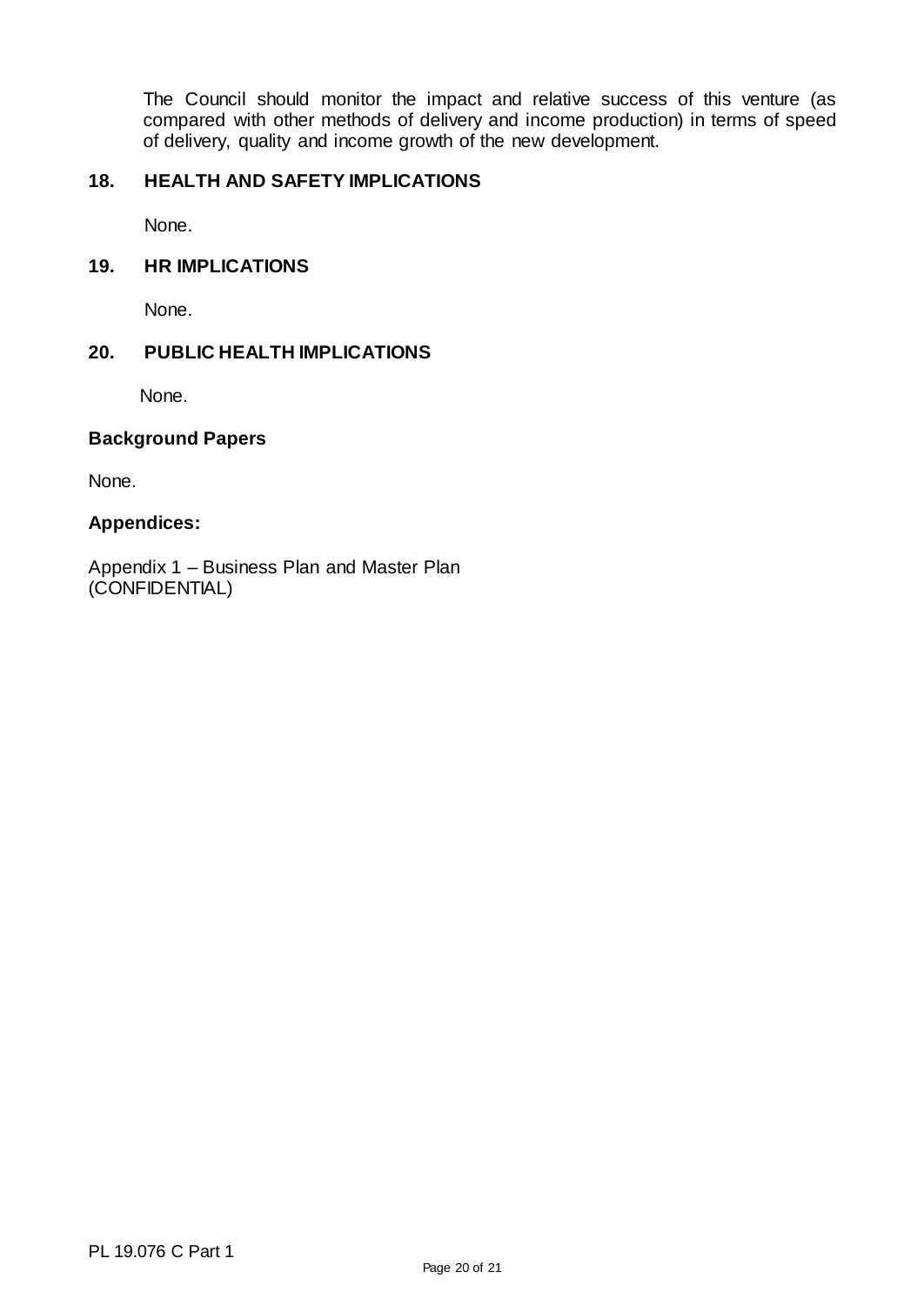The Council should monitor the impact and relative success of this venture (as compared with other methods of delivery and income production) in terms of speed of delivery, quality and income growth of the new development.

## **18. HEALTH AND SAFETY IMPLICATIONS**

None.

#### **19. HR IMPLICATIONS**

None.

#### **20. PUBLIC HEALTH IMPLICATIONS**

None.

#### **Background Papers**

None.

#### **Appendices:**

Appendix 1 – Business Plan and Master Plan (CONFIDENTIAL)